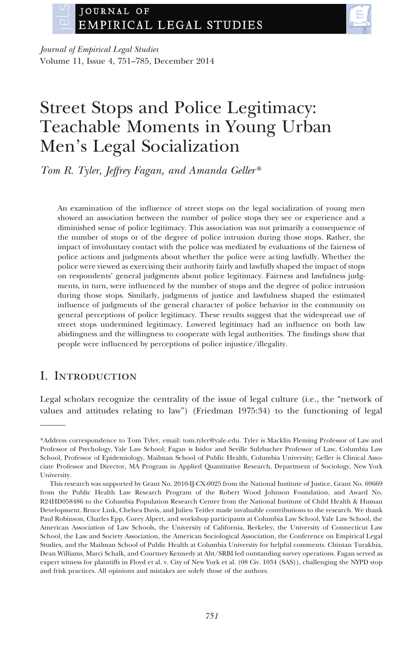

*Journal of Empirical Legal Studies* Volume 11, Issue 4, 751–785, December 2014

# Street Stops and Police Legitimacy: Teachable Moments in Young Urban Men's Legal Socialization

*Tom R. Tyler, Jeffrey Fagan, and Amanda Geller\**

An examination of the influence of street stops on the legal socialization of young men showed an association between the number of police stops they see or experience and a diminished sense of police legitimacy. This association was not primarily a consequence of the number of stops or of the degree of police intrusion during those stops. Rather, the impact of involuntary contact with the police was mediated by evaluations of the fairness of police actions and judgments about whether the police were acting lawfully. Whether the police were viewed as exercising their authority fairly and lawfully shaped the impact of stops on respondents' general judgments about police legitimacy. Fairness and lawfulness judgments, in turn, were influenced by the number of stops and the degree of police intrusion during those stops. Similarly, judgments of justice and lawfulness shaped the estimated influence of judgments of the general character of police behavior in the community on general perceptions of police legitimacy. These results suggest that the widespread use of street stops undermined legitimacy. Lowered legitimacy had an influence on both law abidingness and the willingness to cooperate with legal authorities. The findings show that people were influenced by perceptions of police injustice/illegality.

# I. INTRODUCTION

Legal scholars recognize the centrality of the issue of legal culture (i.e., the "network of values and attitudes relating to law") (Friedman 1975:34) to the functioning of legal

<sup>\*</sup>Address correspondence to Tom Tyler, email: [tom.tyler@yale.edu.](mailto:tom.tyler@yale.edu) Tyler is Macklin Fleming Professor of Law and Professor of Psychology, Yale Law School; Fagan is Isidor and Seville Sulzbacher Professor of Law, Columbia Law School, Professor of Epidemiology, Mailman School of Public Health, Columbia University; Geller is Clinical Associate Professor and Director, MA Program in Applied Quantitative Research, Department of Sociology, New York University.

This research was supported by Grant No. 2010-IJ-CX-0025 from the National Institute of Justice, Grant No. 69669 from the Public Health Law Research Program of the Robert Wood Johnson Foundation, and Award No. R24HD058486 to the Columbia Population Research Center from the National Institute of Child Health & Human Development. Bruce Link, Chelsea Davis, and Julien Teitler made invaluable contributions to the research. We thank Paul Robinson, Charles Epp, Corey Alpert, and workshop participants at Columbia Law School, Yale Law School, the American Association of Law Schools, the University of California, Berkeley, the University of Connecticut Law School, the Law and Society Association, the American Sociological Association, the Conference on Empirical Legal Studies, and the Mailman School of Public Health at Columbia University for helpful comments. Chintan Turakhia, Dean Williams, Marci Schalk, and Courtney Kennedy at Abt/SRBI led outstanding survey operations. Fagan served as expert witness for plaintiffs in Floyd et al. v. City of New York et al. (08 Civ. 1034 (SAS)), challenging the NYPD stop and frisk practices. All opinions and mistakes are solely those of the authors.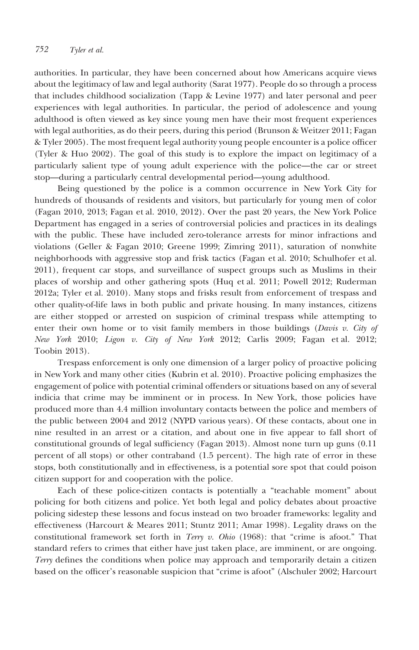authorities. In particular, they have been concerned about how Americans acquire views about the legitimacy of law and legal authority (Sarat 1977). People do so through a process that includes childhood socialization (Tapp & Levine 1977) and later personal and peer experiences with legal authorities. In particular, the period of adolescence and young adulthood is often viewed as key since young men have their most frequent experiences with legal authorities, as do their peers, during this period (Brunson & Weitzer 2011; Fagan & Tyler 2005). The most frequent legal authority young people encounter is a police officer (Tyler & Huo 2002). The goal of this study is to explore the impact on legitimacy of a particularly salient type of young adult experience with the police—the car or street stop—during a particularly central developmental period—young adulthood.

Being questioned by the police is a common occurrence in New York City for hundreds of thousands of residents and visitors, but particularly for young men of color (Fagan 2010, 2013; Fagan et al. 2010, 2012). Over the past 20 years, the New York Police Department has engaged in a series of controversial policies and practices in its dealings with the public. These have included zero-tolerance arrests for minor infractions and violations (Geller & Fagan 2010; Greene 1999; Zimring 2011), saturation of nonwhite neighborhoods with aggressive stop and frisk tactics (Fagan et al. 2010; Schulhofer et al. 2011), frequent car stops, and surveillance of suspect groups such as Muslims in their places of worship and other gathering spots (Huq et al. 2011; Powell 2012; Ruderman 2012a; Tyler et al. 2010). Many stops and frisks result from enforcement of trespass and other quality-of-life laws in both public and private housing. In many instances, citizens are either stopped or arrested on suspicion of criminal trespass while attempting to enter their own home or to visit family members in those buildings (*Davis v. City of New York* 2010; *Ligon v. City of New York* 2012; Carlis 2009; Fagan et al. 2012; Toobin 2013).

Trespass enforcement is only one dimension of a larger policy of proactive policing in New York and many other cities (Kubrin et al. 2010). Proactive policing emphasizes the engagement of police with potential criminal offenders or situations based on any of several indicia that crime may be imminent or in process. In New York, those policies have produced more than 4.4 million involuntary contacts between the police and members of the public between 2004 and 2012 (NYPD various years). Of these contacts, about one in nine resulted in an arrest or a citation, and about one in five appear to fall short of constitutional grounds of legal sufficiency (Fagan 2013). Almost none turn up guns (0.11 percent of all stops) or other contraband (1.5 percent). The high rate of error in these stops, both constitutionally and in effectiveness, is a potential sore spot that could poison citizen support for and cooperation with the police.

Each of these police-citizen contacts is potentially a "teachable moment" about policing for both citizens and police. Yet both legal and policy debates about proactive policing sidestep these lessons and focus instead on two broader frameworks: legality and effectiveness (Harcourt & Meares 2011; Stuntz 2011; Amar 1998). Legality draws on the constitutional framework set forth in *Terry v. Ohio* (1968): that "crime is afoot." That standard refers to crimes that either have just taken place, are imminent, or are ongoing. *Terry* defines the conditions when police may approach and temporarily detain a citizen based on the officer's reasonable suspicion that "crime is afoot" (Alschuler 2002; Harcourt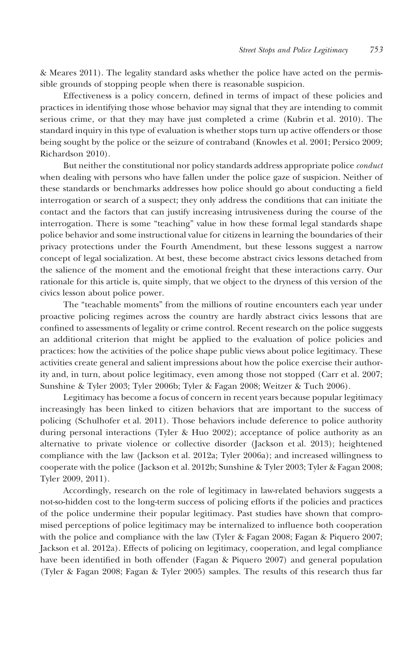& Meares 2011). The legality standard asks whether the police have acted on the permissible grounds of stopping people when there is reasonable suspicion.

Effectiveness is a policy concern, defined in terms of impact of these policies and practices in identifying those whose behavior may signal that they are intending to commit serious crime, or that they may have just completed a crime (Kubrin et al. 2010). The standard inquiry in this type of evaluation is whether stops turn up active offenders or those being sought by the police or the seizure of contraband (Knowles et al. 2001; Persico 2009; Richardson 2010).

But neither the constitutional nor policy standards address appropriate police *conduct* when dealing with persons who have fallen under the police gaze of suspicion. Neither of these standards or benchmarks addresses how police should go about conducting a field interrogation or search of a suspect; they only address the conditions that can initiate the contact and the factors that can justify increasing intrusiveness during the course of the interrogation. There is some "teaching" value in how these formal legal standards shape police behavior and some instructional value for citizens in learning the boundaries of their privacy protections under the Fourth Amendment, but these lessons suggest a narrow concept of legal socialization. At best, these become abstract civics lessons detached from the salience of the moment and the emotional freight that these interactions carry. Our rationale for this article is, quite simply, that we object to the dryness of this version of the civics lesson about police power.

The "teachable moments" from the millions of routine encounters each year under proactive policing regimes across the country are hardly abstract civics lessons that are confined to assessments of legality or crime control. Recent research on the police suggests an additional criterion that might be applied to the evaluation of police policies and practices: how the activities of the police shape public views about police legitimacy. These activities create general and salient impressions about how the police exercise their authority and, in turn, about police legitimacy, even among those not stopped (Carr et al. 2007; Sunshine & Tyler 2003; Tyler 2006b; Tyler & Fagan 2008; Weitzer & Tuch 2006).

Legitimacy has become a focus of concern in recent years because popular legitimacy increasingly has been linked to citizen behaviors that are important to the success of policing (Schulhofer et al. 2011). Those behaviors include deference to police authority during personal interactions (Tyler & Huo 2002); acceptance of police authority as an alternative to private violence or collective disorder (Jackson et al. 2013); heightened compliance with the law (Jackson et al. 2012a; Tyler 2006a); and increased willingness to cooperate with the police (Jackson et al. 2012b; Sunshine & Tyler 2003; Tyler & Fagan 2008; Tyler 2009, 2011).

Accordingly, research on the role of legitimacy in law-related behaviors suggests a not-so-hidden cost to the long-term success of policing efforts if the policies and practices of the police undermine their popular legitimacy. Past studies have shown that compromised perceptions of police legitimacy may be internalized to influence both cooperation with the police and compliance with the law (Tyler & Fagan 2008; Fagan & Piquero 2007; Jackson et al. 2012a). Effects of policing on legitimacy, cooperation, and legal compliance have been identified in both offender (Fagan & Piquero 2007) and general population (Tyler & Fagan 2008; Fagan & Tyler 2005) samples. The results of this research thus far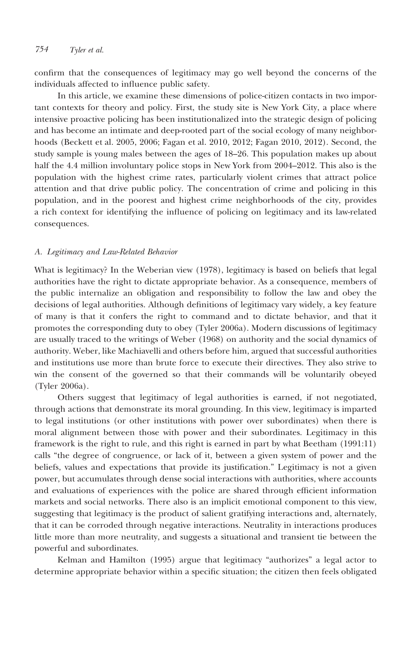confirm that the consequences of legitimacy may go well beyond the concerns of the individuals affected to influence public safety.

In this article, we examine these dimensions of police-citizen contacts in two important contexts for theory and policy. First, the study site is New York City, a place where intensive proactive policing has been institutionalized into the strategic design of policing and has become an intimate and deep-rooted part of the social ecology of many neighborhoods (Beckett et al. 2005, 2006; Fagan et al. 2010, 2012; Fagan 2010, 2012). Second, the study sample is young males between the ages of 18–26. This population makes up about half the 4.4 million involuntary police stops in New York from 2004–2012. This also is the population with the highest crime rates, particularly violent crimes that attract police attention and that drive public policy. The concentration of crime and policing in this population, and in the poorest and highest crime neighborhoods of the city, provides a rich context for identifying the influence of policing on legitimacy and its law-related consequences.

#### *A. Legitimacy and Law-Related Behavior*

What is legitimacy? In the Weberian view (1978), legitimacy is based on beliefs that legal authorities have the right to dictate appropriate behavior. As a consequence, members of the public internalize an obligation and responsibility to follow the law and obey the decisions of legal authorities. Although definitions of legitimacy vary widely, a key feature of many is that it confers the right to command and to dictate behavior, and that it promotes the corresponding duty to obey (Tyler 2006a). Modern discussions of legitimacy are usually traced to the writings of Weber (1968) on authority and the social dynamics of authority. Weber, like Machiavelli and others before him, argued that successful authorities and institutions use more than brute force to execute their directives. They also strive to win the consent of the governed so that their commands will be voluntarily obeyed (Tyler 2006a).

Others suggest that legitimacy of legal authorities is earned, if not negotiated, through actions that demonstrate its moral grounding. In this view, legitimacy is imparted to legal institutions (or other institutions with power over subordinates) when there is moral alignment between those with power and their subordinates. Legitimacy in this framework is the right to rule, and this right is earned in part by what Beetham (1991:11) calls "the degree of congruence, or lack of it, between a given system of power and the beliefs, values and expectations that provide its justification." Legitimacy is not a given power, but accumulates through dense social interactions with authorities, where accounts and evaluations of experiences with the police are shared through efficient information markets and social networks. There also is an implicit emotional component to this view, suggesting that legitimacy is the product of salient gratifying interactions and, alternately, that it can be corroded through negative interactions. Neutrality in interactions produces little more than more neutrality, and suggests a situational and transient tie between the powerful and subordinates.

Kelman and Hamilton (1995) argue that legitimacy "authorizes" a legal actor to determine appropriate behavior within a specific situation; the citizen then feels obligated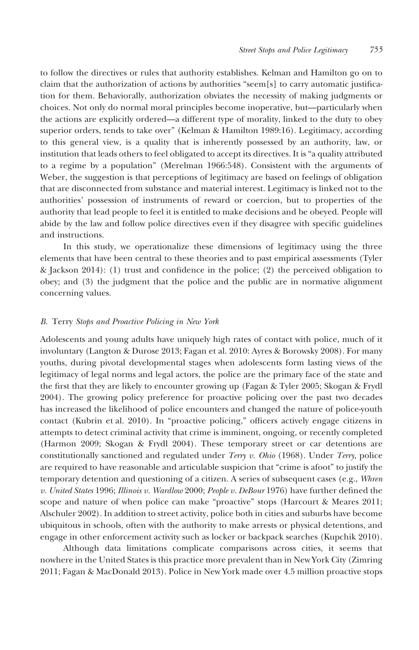to follow the directives or rules that authority establishes. Kelman and Hamilton go on to claim that the authorization of actions by authorities "seem[s] to carry automatic justification for them. Behaviorally, authorization obviates the necessity of making judgments or choices. Not only do normal moral principles become inoperative, but—particularly when the actions are explicitly ordered—a different type of morality, linked to the duty to obey superior orders, tends to take over" (Kelman & Hamilton 1989:16). Legitimacy, according to this general view, is a quality that is inherently possessed by an authority, law, or institution that leads others to feel obligated to accept its directives. It is "a quality attributed to a regime by a population" (Merelman 1966:548). Consistent with the arguments of Weber, the suggestion is that perceptions of legitimacy are based on feelings of obligation that are disconnected from substance and material interest. Legitimacy is linked not to the authorities' possession of instruments of reward or coercion, but to properties of the authority that lead people to feel it is entitled to make decisions and be obeyed. People will abide by the law and follow police directives even if they disagree with specific guidelines and instructions.

In this study, we operationalize these dimensions of legitimacy using the three elements that have been central to these theories and to past empirical assessments (Tyler & Jackson 2014): (1) trust and confidence in the police; (2) the perceived obligation to obey; and (3) the judgment that the police and the public are in normative alignment concerning values.

#### *B.* Terry *Stops and Proactive Policing in New York*

Adolescents and young adults have uniquely high rates of contact with police, much of it involuntary (Langton & Durose 2013; Fagan et al. 2010: Ayres & Borowsky 2008). For many youths, during pivotal developmental stages when adolescents form lasting views of the legitimacy of legal norms and legal actors, the police are the primary face of the state and the first that they are likely to encounter growing up (Fagan & Tyler 2005; Skogan & Frydl 2004). The growing policy preference for proactive policing over the past two decades has increased the likelihood of police encounters and changed the nature of police-youth contact (Kubrin et al. 2010). In "proactive policing," officers actively engage citizens in attempts to detect criminal activity that crime is imminent, ongoing, or recently completed (Harmon 2009; Skogan & Frydl 2004). These temporary street or car detentions are constitutionally sanctioned and regulated under *Terry v. Ohio* (1968). Under *Terry*, police are required to have reasonable and articulable suspicion that "crime is afoot" to justify the temporary detention and questioning of a citizen. A series of subsequent cases (e.g., *Whren v. United States* 1996; *Illinois v. Wardlow* 2000; *People v. DeBour* 1976) have further defined the scope and nature of when police can make "proactive" stops (Harcourt & Meares 2011; Alschuler 2002). In addition to street activity, police both in cities and suburbs have become ubiquitous in schools, often with the authority to make arrests or physical detentions, and engage in other enforcement activity such as locker or backpack searches (Kupchik 2010).

Although data limitations complicate comparisons across cities, it seems that nowhere in the United States is this practice more prevalent than in New York City (Zimring 2011; Fagan & MacDonald 2013). Police in New York made over 4.5 million proactive stops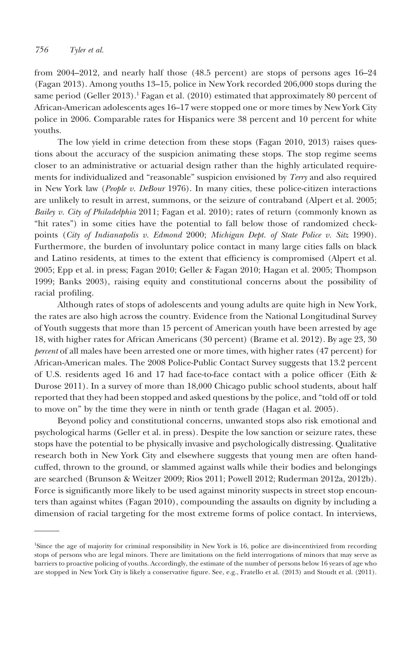from 2004–2012, and nearly half those (48.5 percent) are stops of persons ages 16–24 (Fagan 2013). Among youths 13–15, police in New York recorded 206,000 stops during the same period (Geller 2013).<sup>1</sup> Fagan et al. (2010) estimated that approximately 80 percent of African-American adolescents ages 16–17 were stopped one or more times by New York City police in 2006. Comparable rates for Hispanics were 38 percent and 10 percent for white youths.

The low yield in crime detection from these stops (Fagan 2010, 2013) raises questions about the accuracy of the suspicion animating these stops. The stop regime seems closer to an administrative or actuarial design rather than the highly articulated requirements for individualized and "reasonable" suspicion envisioned by *Terry* and also required in New York law (*People v. DeBour* 1976). In many cities, these police-citizen interactions are unlikely to result in arrest, summons, or the seizure of contraband (Alpert et al. 2005; *Bailey v. City of Philadelphia* 2011; Fagan et al. 2010); rates of return (commonly known as "hit rates") in some cities have the potential to fall below those of randomized checkpoints (*City of Indianapolis v. Edmond* 2000; *Michigan Dept. of State Police v. Sitz* 1990). Furthermore, the burden of involuntary police contact in many large cities falls on black and Latino residents, at times to the extent that efficiency is compromised (Alpert et al. 2005; Epp et al. in press; Fagan 2010; Geller & Fagan 2010; Hagan et al. 2005; Thompson 1999; Banks 2003), raising equity and constitutional concerns about the possibility of racial profiling.

Although rates of stops of adolescents and young adults are quite high in New York, the rates are also high across the country. Evidence from the National Longitudinal Survey of Youth suggests that more than 15 percent of American youth have been arrested by age 18, with higher rates for African Americans (30 percent) (Brame et al. 2012). By age 23, 30 *percent* of all males have been arrested one or more times, with higher rates (47 percent) for African-American males. The 2008 Police-Public Contact Survey suggests that 13.2 percent of U.S. residents aged 16 and 17 had face-to-face contact with a police officer (Eith & Durose 2011). In a survey of more than 18,000 Chicago public school students, about half reported that they had been stopped and asked questions by the police, and "told off or told to move on" by the time they were in ninth or tenth grade (Hagan et al. 2005).

Beyond policy and constitutional concerns, unwanted stops also risk emotional and psychological harms (Geller et al. in press). Despite the low sanction or seizure rates, these stops have the potential to be physically invasive and psychologically distressing. Qualitative research both in New York City and elsewhere suggests that young men are often handcuffed, thrown to the ground, or slammed against walls while their bodies and belongings are searched (Brunson & Weitzer 2009; Rios 2011; Powell 2012; Ruderman 2012a, 2012b). Force is significantly more likely to be used against minority suspects in street stop encounters than against whites (Fagan 2010), compounding the assaults on dignity by including a dimension of racial targeting for the most extreme forms of police contact. In interviews,

<sup>&</sup>lt;sup>1</sup>Since the age of majority for criminal responsibility in New York is 16, police are dis-incentivized from recording stops of persons who are legal minors. There are limitations on the field interrogations of minors that may serve as barriers to proactive policing of youths. Accordingly, the estimate of the number of persons below 16 years of age who are stopped in New York City is likely a conservative figure. See, e.g., Fratello et al. (2013) and Stoudt et al. (2011).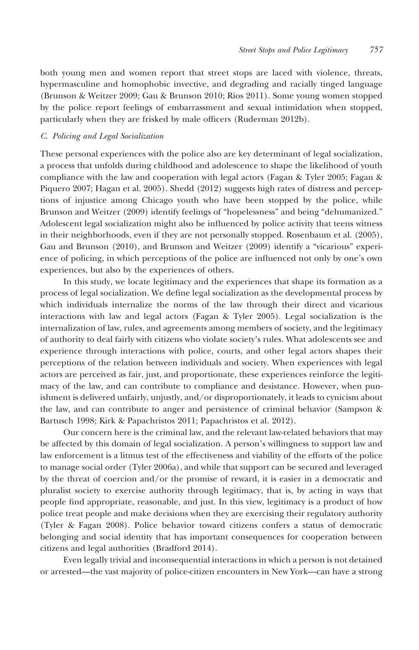both young men and women report that street stops are laced with violence, threats, hypermasculine and homophobic invective, and degrading and racially tinged language (Brunson & Weitzer 2009; Gau & Brunson 2010; Rios 2011). Some young women stopped by the police report feelings of embarrassment and sexual intimidation when stopped, particularly when they are frisked by male officers (Ruderman 2012b).

#### *C. Policing and Legal Socialization*

These personal experiences with the police also are key determinant of legal socialization, a process that unfolds during childhood and adolescence to shape the likelihood of youth compliance with the law and cooperation with legal actors (Fagan & Tyler 2005; Fagan & Piquero 2007; Hagan et al. 2005). Shedd (2012) suggests high rates of distress and perceptions of injustice among Chicago youth who have been stopped by the police, while Brunson and Weitzer (2009) identify feelings of "hopelessness" and being "dehumanized." Adolescent legal socialization might also be influenced by police activity that teens witness in their neighborhoods, even if they are not personally stopped. Rosenbaum et al. (2005), Gau and Brunson (2010), and Brunson and Weitzer (2009) identify a "vicarious" experience of policing, in which perceptions of the police are influenced not only by one's own experiences, but also by the experiences of others.

In this study, we locate legitimacy and the experiences that shape its formation as a process of legal socialization. We define legal socialization as the developmental process by which individuals internalize the norms of the law through their direct and vicarious interactions with law and legal actors (Fagan & Tyler 2005). Legal socialization is the internalization of law, rules, and agreements among members of society, and the legitimacy of authority to deal fairly with citizens who violate society's rules. What adolescents see and experience through interactions with police, courts, and other legal actors shapes their perceptions of the relation between individuals and society. When experiences with legal actors are perceived as fair, just, and proportionate, these experiences reinforce the legitimacy of the law, and can contribute to compliance and desistance. However, when punishment is delivered unfairly, unjustly, and/or disproportionately, it leads to cynicism about the law, and can contribute to anger and persistence of criminal behavior (Sampson & Bartusch 1998; Kirk & Papachristos 2011; Papachristos et al. 2012).

Our concern here is the criminal law, and the relevant law-related behaviors that may be affected by this domain of legal socialization. A person's willingness to support law and law enforcement is a litmus test of the effectiveness and viability of the efforts of the police to manage social order (Tyler 2006a), and while that support can be secured and leveraged by the threat of coercion and/or the promise of reward, it is easier in a democratic and pluralist society to exercise authority through legitimacy, that is, by acting in ways that people find appropriate, reasonable, and just. In this view, legitimacy is a product of how police treat people and make decisions when they are exercising their regulatory authority (Tyler & Fagan 2008). Police behavior toward citizens confers a status of democratic belonging and social identity that has important consequences for cooperation between citizens and legal authorities (Bradford 2014).

Even legally trivial and inconsequential interactions in which a person is not detained or arrested—the vast majority of police-citizen encounters in New York—can have a strong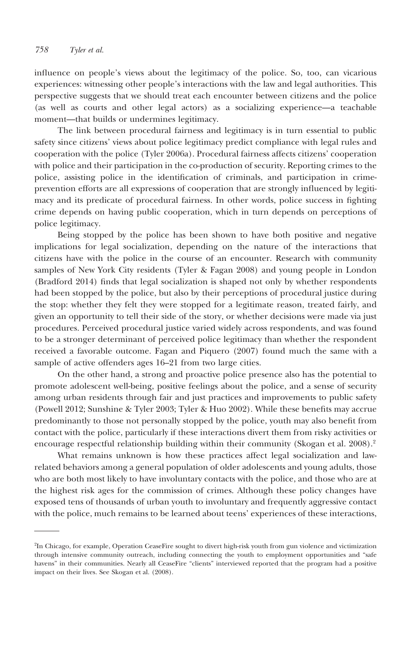influence on people's views about the legitimacy of the police. So, too, can vicarious experiences: witnessing other people's interactions with the law and legal authorities. This perspective suggests that we should treat each encounter between citizens and the police (as well as courts and other legal actors) as a socializing experience—a teachable moment—that builds or undermines legitimacy.

The link between procedural fairness and legitimacy is in turn essential to public safety since citizens' views about police legitimacy predict compliance with legal rules and cooperation with the police (Tyler 2006a). Procedural fairness affects citizens' cooperation with police and their participation in the co-production of security. Reporting crimes to the police, assisting police in the identification of criminals, and participation in crimeprevention efforts are all expressions of cooperation that are strongly influenced by legitimacy and its predicate of procedural fairness. In other words, police success in fighting crime depends on having public cooperation, which in turn depends on perceptions of police legitimacy.

Being stopped by the police has been shown to have both positive and negative implications for legal socialization, depending on the nature of the interactions that citizens have with the police in the course of an encounter. Research with community samples of New York City residents (Tyler & Fagan 2008) and young people in London (Bradford 2014) finds that legal socialization is shaped not only by whether respondents had been stopped by the police, but also by their perceptions of procedural justice during the stop: whether they felt they were stopped for a legitimate reason, treated fairly, and given an opportunity to tell their side of the story, or whether decisions were made via just procedures. Perceived procedural justice varied widely across respondents, and was found to be a stronger determinant of perceived police legitimacy than whether the respondent received a favorable outcome. Fagan and Piquero (2007) found much the same with a sample of active offenders ages 16–21 from two large cities.

On the other hand, a strong and proactive police presence also has the potential to promote adolescent well-being, positive feelings about the police, and a sense of security among urban residents through fair and just practices and improvements to public safety (Powell 2012; Sunshine & Tyler 2003; Tyler & Huo 2002). While these benefits may accrue predominantly to those not personally stopped by the police, youth may also benefit from contact with the police, particularly if these interactions divert them from risky activities or encourage respectful relationship building within their community (Skogan et al. 2008).<sup>2</sup>

What remains unknown is how these practices affect legal socialization and lawrelated behaviors among a general population of older adolescents and young adults, those who are both most likely to have involuntary contacts with the police, and those who are at the highest risk ages for the commission of crimes. Although these policy changes have exposed tens of thousands of urban youth to involuntary and frequently aggressive contact with the police, much remains to be learned about teens' experiences of these interactions,

<sup>2</sup> In Chicago, for example, Operation CeaseFire sought to divert high-risk youth from gun violence and victimization through intensive community outreach, including connecting the youth to employment opportunities and "safe havens" in their communities. Nearly all CeaseFire "clients" interviewed reported that the program had a positive impact on their lives. See Skogan et al. (2008).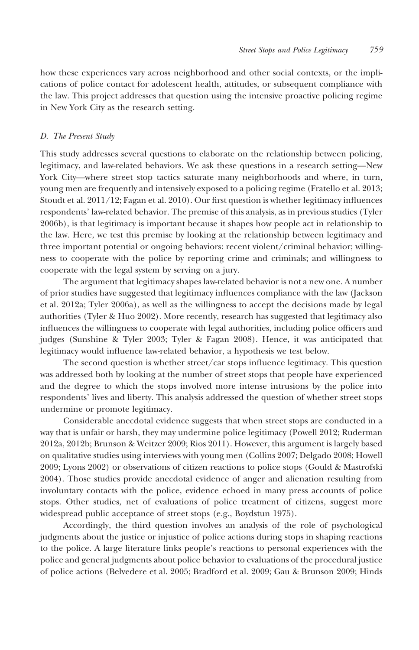how these experiences vary across neighborhood and other social contexts, or the implications of police contact for adolescent health, attitudes, or subsequent compliance with the law. This project addresses that question using the intensive proactive policing regime in New York City as the research setting.

#### *D. The Present Study*

This study addresses several questions to elaborate on the relationship between policing, legitimacy, and law-related behaviors. We ask these questions in a research setting—New York City—where street stop tactics saturate many neighborhoods and where, in turn, young men are frequently and intensively exposed to a policing regime (Fratello et al. 2013; Stoudt et al. 2011/12; Fagan et al. 2010). Our first question is whether legitimacy influences respondents' law-related behavior. The premise of this analysis, as in previous studies (Tyler 2006b), is that legitimacy is important because it shapes how people act in relationship to the law. Here, we test this premise by looking at the relationship between legitimacy and three important potential or ongoing behaviors: recent violent/criminal behavior; willingness to cooperate with the police by reporting crime and criminals; and willingness to cooperate with the legal system by serving on a jury.

The argument that legitimacy shapes law-related behavior is not a new one. A number of prior studies have suggested that legitimacy influences compliance with the law (Jackson et al. 2012a; Tyler 2006a), as well as the willingness to accept the decisions made by legal authorities (Tyler & Huo 2002). More recently, research has suggested that legitimacy also influences the willingness to cooperate with legal authorities, including police officers and judges (Sunshine & Tyler 2003; Tyler & Fagan 2008). Hence, it was anticipated that legitimacy would influence law-related behavior, a hypothesis we test below.

The second question is whether street/car stops influence legitimacy. This question was addressed both by looking at the number of street stops that people have experienced and the degree to which the stops involved more intense intrusions by the police into respondents' lives and liberty. This analysis addressed the question of whether street stops undermine or promote legitimacy.

Considerable anecdotal evidence suggests that when street stops are conducted in a way that is unfair or harsh, they may undermine police legitimacy (Powell 2012; Ruderman 2012a, 2012b; Brunson & Weitzer 2009; Rios 2011). However, this argument is largely based on qualitative studies using interviews with young men (Collins 2007; Delgado 2008; Howell 2009; Lyons 2002) or observations of citizen reactions to police stops (Gould & Mastrofski 2004). Those studies provide anecdotal evidence of anger and alienation resulting from involuntary contacts with the police, evidence echoed in many press accounts of police stops. Other studies, net of evaluations of police treatment of citizens, suggest more widespread public acceptance of street stops (e.g., Boydstun 1975).

Accordingly, the third question involves an analysis of the role of psychological judgments about the justice or injustice of police actions during stops in shaping reactions to the police. A large literature links people's reactions to personal experiences with the police and general judgments about police behavior to evaluations of the procedural justice of police actions (Belvedere et al. 2005; Bradford et al. 2009; Gau & Brunson 2009; Hinds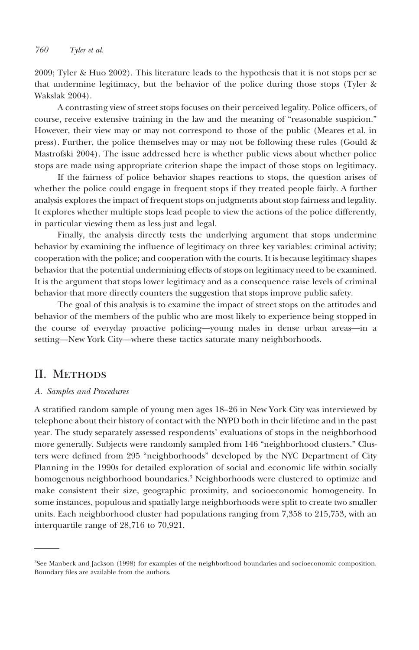2009; Tyler & Huo 2002). This literature leads to the hypothesis that it is not stops per se that undermine legitimacy, but the behavior of the police during those stops (Tyler & Wakslak 2004).

A contrasting view of street stops focuses on their perceived legality. Police officers, of course, receive extensive training in the law and the meaning of "reasonable suspicion." However, their view may or may not correspond to those of the public (Meares et al. in press). Further, the police themselves may or may not be following these rules (Gould & Mastrofski 2004). The issue addressed here is whether public views about whether police stops are made using appropriate criterion shape the impact of those stops on legitimacy.

If the fairness of police behavior shapes reactions to stops, the question arises of whether the police could engage in frequent stops if they treated people fairly. A further analysis explores the impact of frequent stops on judgments about stop fairness and legality. It explores whether multiple stops lead people to view the actions of the police differently, in particular viewing them as less just and legal.

Finally, the analysis directly tests the underlying argument that stops undermine behavior by examining the influence of legitimacy on three key variables: criminal activity; cooperation with the police; and cooperation with the courts. It is because legitimacy shapes behavior that the potential undermining effects of stops on legitimacy need to be examined. It is the argument that stops lower legitimacy and as a consequence raise levels of criminal behavior that more directly counters the suggestion that stops improve public safety.

The goal of this analysis is to examine the impact of street stops on the attitudes and behavior of the members of the public who are most likely to experience being stopped in the course of everyday proactive policing—young males in dense urban areas—in a setting—New York City—where these tactics saturate many neighborhoods.

# II. METHODS

#### *A. Samples and Procedures*

A stratified random sample of young men ages 18–26 in New York City was interviewed by telephone about their history of contact with the NYPD both in their lifetime and in the past year. The study separately assessed respondents' evaluations of stops in the neighborhood more generally. Subjects were randomly sampled from 146 "neighborhood clusters." Clusters were defined from 295 "neighborhoods" developed by the NYC Department of City Planning in the 1990s for detailed exploration of social and economic life within socially homogenous neighborhood boundaries.<sup>3</sup> Neighborhoods were clustered to optimize and make consistent their size, geographic proximity, and socioeconomic homogeneity. In some instances, populous and spatially large neighborhoods were split to create two smaller units. Each neighborhood cluster had populations ranging from 7,358 to 215,753, with an interquartile range of 28,716 to 70,921.

<sup>3</sup> See Manbeck and Jackson (1998) for examples of the neighborhood boundaries and socioeconomic composition. Boundary files are available from the authors.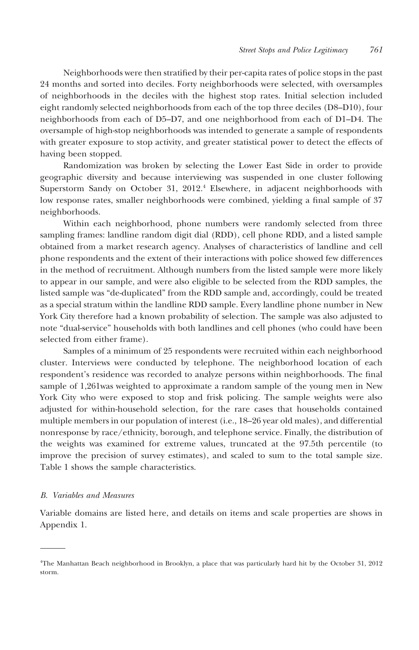Neighborhoods were then stratified by their per-capita rates of police stops in the past 24 months and sorted into deciles. Forty neighborhoods were selected, with oversamples of neighborhoods in the deciles with the highest stop rates. Initial selection included eight randomly selected neighborhoods from each of the top three deciles (D8–D10), four neighborhoods from each of D5–D7, and one neighborhood from each of D1–D4. The oversample of high-stop neighborhoods was intended to generate a sample of respondents with greater exposure to stop activity, and greater statistical power to detect the effects of having been stopped.

Randomization was broken by selecting the Lower East Side in order to provide geographic diversity and because interviewing was suspended in one cluster following Superstorm Sandy on October 31, 2012.<sup>4</sup> Elsewhere, in adjacent neighborhoods with low response rates, smaller neighborhoods were combined, yielding a final sample of 37 neighborhoods.

Within each neighborhood, phone numbers were randomly selected from three sampling frames: landline random digit dial (RDD), cell phone RDD, and a listed sample obtained from a market research agency. Analyses of characteristics of landline and cell phone respondents and the extent of their interactions with police showed few differences in the method of recruitment. Although numbers from the listed sample were more likely to appear in our sample, and were also eligible to be selected from the RDD samples, the listed sample was "de-duplicated" from the RDD sample and, accordingly, could be treated as a special stratum within the landline RDD sample. Every landline phone number in New York City therefore had a known probability of selection. The sample was also adjusted to note "dual-service" households with both landlines and cell phones (who could have been selected from either frame).

Samples of a minimum of 25 respondents were recruited within each neighborhood cluster. Interviews were conducted by telephone. The neighborhood location of each respondent's residence was recorded to analyze persons within neighborhoods. The final sample of 1,261was weighted to approximate a random sample of the young men in New York City who were exposed to stop and frisk policing. The sample weights were also adjusted for within-household selection, for the rare cases that households contained multiple members in our population of interest (i.e., 18–26 year old males), and differential nonresponse by race/ethnicity, borough, and telephone service. Finally, the distribution of the weights was examined for extreme values, truncated at the 97.5th percentile (to improve the precision of survey estimates), and scaled to sum to the total sample size. Table 1 shows the sample characteristics.

#### *B. Variables and Measures*

Variable domains are listed here, and details on items and scale properties are shows in Appendix 1.

<sup>4</sup> The Manhattan Beach neighborhood in Brooklyn, a place that was particularly hard hit by the October 31, 2012 storm.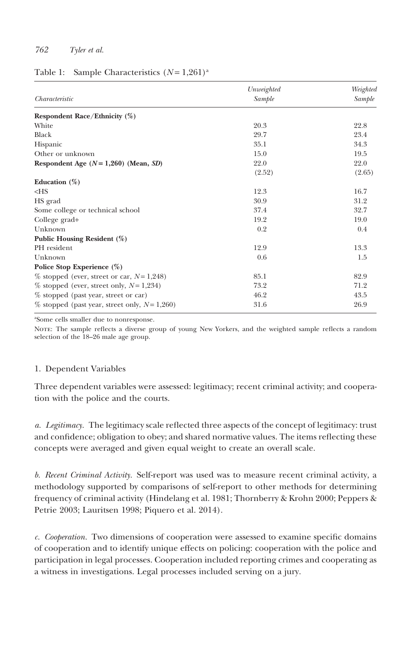#### Table 1: Sample Characteristics  $(N=1,261)$ <sup>a</sup>

|                                                | Unweighted | Weighted |  |
|------------------------------------------------|------------|----------|--|
| Characteristic                                 | Sample     | Sample   |  |
| Respondent Race/Ethnicity (%)                  |            |          |  |
| White                                          | 20.3       | 22.8     |  |
| <b>Black</b>                                   | 29.7       | 23.4     |  |
| Hispanic                                       | 35.1       | 34.3     |  |
| Other or unknown                               | 15.0       | 19.5     |  |
| Respondent Age $(N=1,260)$ (Mean, SD)          | 22.0       | 22.0     |  |
|                                                | (2.52)     | (2.65)   |  |
| Education $(\%)$                               |            |          |  |
| $<$ HS                                         | 12.3       | 16.7     |  |
| HS grad                                        | 30.9       | 31.2     |  |
| Some college or technical school               | 37.4       | 32.7     |  |
| College grad+                                  | 19.2       | 19.0     |  |
| Unknown                                        | 0.2        | 0.4      |  |
| Public Housing Resident (%)                    |            |          |  |
| PH resident                                    | 12.9       | 13.3     |  |
| Unknown                                        | 0.6        | 1.5      |  |
| Police Stop Experience $(\%)$                  |            |          |  |
| % stopped (ever, street or car, $N=1,248$ )    | 85.1       | 82.9     |  |
| $\%$ stopped (ever, street only, $N=1,234$ )   | 73.2       | 71.2     |  |
| % stopped (past year, street or car)           | 46.2       | 43.5     |  |
| % stopped (past year, street only, $N=1,260$ ) | 31.6       | 26.9     |  |

a Some cells smaller due to nonresponse.

Note: The sample reflects a diverse group of young New Yorkers, and the weighted sample reflects a random selection of the 18–26 male age group.

#### 1. Dependent Variables

Three dependent variables were assessed: legitimacy; recent criminal activity; and cooperation with the police and the courts.

*a. Legitimacy.* The legitimacy scale reflected three aspects of the concept of legitimacy: trust and confidence; obligation to obey; and shared normative values. The items reflecting these concepts were averaged and given equal weight to create an overall scale.

*b. Recent Criminal Activity.* Self-report was used was to measure recent criminal activity, a methodology supported by comparisons of self-report to other methods for determining frequency of criminal activity (Hindelang et al. 1981; Thornberry & Krohn 2000; Peppers & Petrie 2003; Lauritsen 1998; Piquero et al. 2014).

*c. Cooperation.* Two dimensions of cooperation were assessed to examine specific domains of cooperation and to identify unique effects on policing: cooperation with the police and participation in legal processes. Cooperation included reporting crimes and cooperating as a witness in investigations. Legal processes included serving on a jury.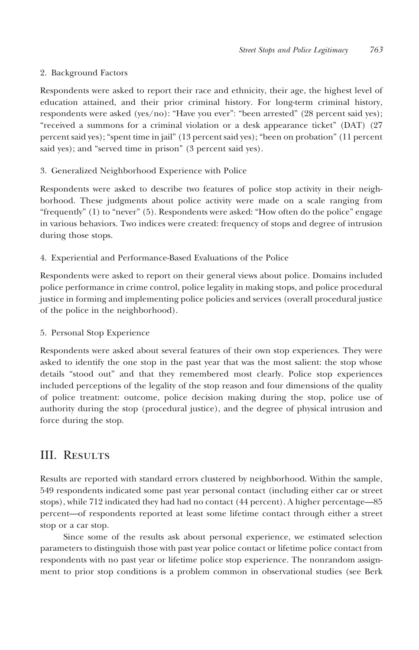# 2. Background Factors

Respondents were asked to report their race and ethnicity, their age, the highest level of education attained, and their prior criminal history. For long-term criminal history, respondents were asked (yes/no): "Have you ever": "been arrested" (28 percent said yes); "received a summons for a criminal violation or a desk appearance ticket" (DAT) (27 percent said yes); "spent time in jail" (13 percent said yes); "been on probation" (11 percent said yes); and "served time in prison" (3 percent said yes).

3. Generalized Neighborhood Experience with Police

Respondents were asked to describe two features of police stop activity in their neighborhood. These judgments about police activity were made on a scale ranging from "frequently" (1) to "never" (5). Respondents were asked: "How often do the police" engage in various behaviors. Two indices were created: frequency of stops and degree of intrusion during those stops.

4. Experiential and Performance-Based Evaluations of the Police

Respondents were asked to report on their general views about police. Domains included police performance in crime control, police legality in making stops, and police procedural justice in forming and implementing police policies and services (overall procedural justice of the police in the neighborhood).

5. Personal Stop Experience

Respondents were asked about several features of their own stop experiences. They were asked to identify the one stop in the past year that was the most salient: the stop whose details "stood out" and that they remembered most clearly. Police stop experiences included perceptions of the legality of the stop reason and four dimensions of the quality of police treatment: outcome, police decision making during the stop, police use of authority during the stop (procedural justice), and the degree of physical intrusion and force during the stop.

# III. RESULTS

Results are reported with standard errors clustered by neighborhood. Within the sample, 549 respondents indicated some past year personal contact (including either car or street stops), while 712 indicated they had had no contact (44 percent). A higher percentage—85 percent—of respondents reported at least some lifetime contact through either a street stop or a car stop.

Since some of the results ask about personal experience, we estimated selection parameters to distinguish those with past year police contact or lifetime police contact from respondents with no past year or lifetime police stop experience. The nonrandom assignment to prior stop conditions is a problem common in observational studies (see Berk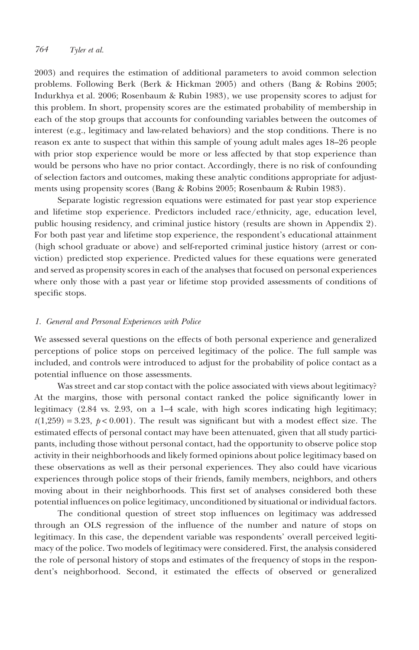2003) and requires the estimation of additional parameters to avoid common selection problems. Following Berk (Berk & Hickman 2005) and others (Bang & Robins 2005; Indurkhya et al. 2006; Rosenbaum & Rubin 1983), we use propensity scores to adjust for this problem. In short, propensity scores are the estimated probability of membership in each of the stop groups that accounts for confounding variables between the outcomes of interest (e.g., legitimacy and law-related behaviors) and the stop conditions. There is no reason ex ante to suspect that within this sample of young adult males ages 18–26 people with prior stop experience would be more or less affected by that stop experience than would be persons who have no prior contact. Accordingly, there is no risk of confounding of selection factors and outcomes, making these analytic conditions appropriate for adjustments using propensity scores (Bang & Robins 2005; Rosenbaum & Rubin 1983).

Separate logistic regression equations were estimated for past year stop experience and lifetime stop experience. Predictors included race/ethnicity, age, education level, public housing residency, and criminal justice history (results are shown in Appendix 2). For both past year and lifetime stop experience, the respondent's educational attainment (high school graduate or above) and self-reported criminal justice history (arrest or conviction) predicted stop experience. Predicted values for these equations were generated and served as propensity scores in each of the analyses that focused on personal experiences where only those with a past year or lifetime stop provided assessments of conditions of specific stops.

#### *1. General and Personal Experiences with Police*

We assessed several questions on the effects of both personal experience and generalized perceptions of police stops on perceived legitimacy of the police. The full sample was included, and controls were introduced to adjust for the probability of police contact as a potential influence on those assessments.

Was street and car stop contact with the police associated with views about legitimacy? At the margins, those with personal contact ranked the police significantly lower in legitimacy (2.84 vs. 2.93, on a 1–4 scale, with high scores indicating high legitimacy;  $t(1,259) = 3.23$ ,  $p < 0.001$ ). The result was significant but with a modest effect size. The estimated effects of personal contact may have been attenuated, given that all study participants, including those without personal contact, had the opportunity to observe police stop activity in their neighborhoods and likely formed opinions about police legitimacy based on these observations as well as their personal experiences. They also could have vicarious experiences through police stops of their friends, family members, neighbors, and others moving about in their neighborhoods. This first set of analyses considered both these potential influences on police legitimacy, unconditioned by situational or individual factors.

The conditional question of street stop influences on legitimacy was addressed through an OLS regression of the influence of the number and nature of stops on legitimacy. In this case, the dependent variable was respondents' overall perceived legitimacy of the police. Two models of legitimacy were considered. First, the analysis considered the role of personal history of stops and estimates of the frequency of stops in the respondent's neighborhood. Second, it estimated the effects of observed or generalized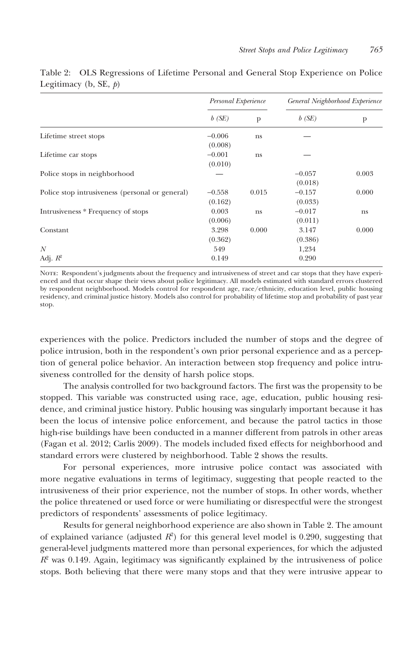|                                                 | Personal Experience |       | General Neighborhood Experience |       |  |
|-------------------------------------------------|---------------------|-------|---------------------------------|-------|--|
|                                                 | b(SE)               | p     | b(SE)                           | P     |  |
| Lifetime street stops                           | $-0.006$            | ns    |                                 |       |  |
|                                                 | (0.008)             |       |                                 |       |  |
| Lifetime car stops                              | $-0.001$            | ns    |                                 |       |  |
|                                                 | (0.010)             |       |                                 |       |  |
| Police stops in neighborhood                    |                     |       | $-0.057$                        | 0.003 |  |
|                                                 |                     |       | (0.018)                         |       |  |
| Police stop intrusiveness (personal or general) | $-0.558$            | 0.015 | $-0.157$                        | 0.000 |  |
|                                                 | (0.162)             |       | (0.033)                         |       |  |
| Intrusiveness * Frequency of stops              | 0.003               | ns    | $-0.017$                        | ns    |  |
|                                                 | (0.006)             |       | (0.011)                         |       |  |
| Constant                                        | 3.298               | 0.000 | 3.147                           | 0.000 |  |
|                                                 | (0.362)             |       | (0.386)                         |       |  |
| N                                               | 549                 |       | 1,234                           |       |  |
| Adj. $R^2$                                      | 0.149               |       | 0.290                           |       |  |

Table 2: OLS Regressions of Lifetime Personal and General Stop Experience on Police Legitimacy (b, SE, *p*)

NOTE: Respondent's judgments about the frequency and intrusiveness of street and car stops that they have experienced and that occur shape their views about police legitimacy. All models estimated with standard errors clustered by respondent neighborhood. Models control for respondent age, race/ethnicity, education level, public housing residency, and criminal justice history. Models also control for probability of lifetime stop and probability of past year stop.

experiences with the police. Predictors included the number of stops and the degree of police intrusion, both in the respondent's own prior personal experience and as a perception of general police behavior. An interaction between stop frequency and police intrusiveness controlled for the density of harsh police stops.

The analysis controlled for two background factors. The first was the propensity to be stopped. This variable was constructed using race, age, education, public housing residence, and criminal justice history. Public housing was singularly important because it has been the locus of intensive police enforcement, and because the patrol tactics in those high-rise buildings have been conducted in a manner different from patrols in other areas (Fagan et al. 2012; Carlis 2009). The models included fixed effects for neighborhood and standard errors were clustered by neighborhood. Table 2 shows the results.

For personal experiences, more intrusive police contact was associated with more negative evaluations in terms of legitimacy, suggesting that people reacted to the intrusiveness of their prior experience, not the number of stops. In other words, whether the police threatened or used force or were humiliating or disrespectful were the strongest predictors of respondents' assessments of police legitimacy.

Results for general neighborhood experience are also shown in Table 2. The amount of explained variance (adjusted  $R^2$ ) for this general level model is 0.290, suggesting that general-level judgments mattered more than personal experiences, for which the adjusted  $R<sup>2</sup>$  was 0.149. Again, legitimacy was significantly explained by the intrusiveness of police stops. Both believing that there were many stops and that they were intrusive appear to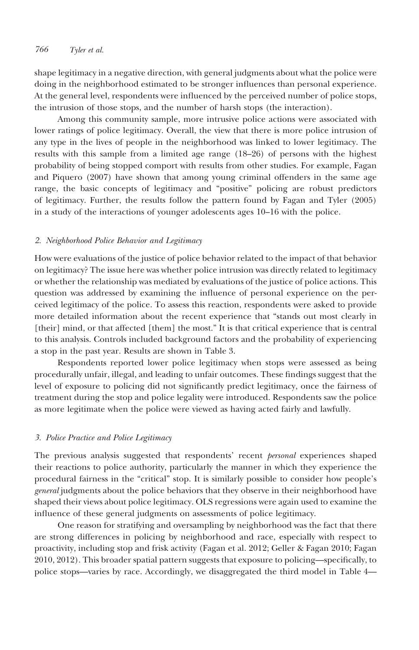shape legitimacy in a negative direction, with general judgments about what the police were doing in the neighborhood estimated to be stronger influences than personal experience. At the general level, respondents were influenced by the perceived number of police stops, the intrusion of those stops, and the number of harsh stops (the interaction).

Among this community sample, more intrusive police actions were associated with lower ratings of police legitimacy. Overall, the view that there is more police intrusion of any type in the lives of people in the neighborhood was linked to lower legitimacy. The results with this sample from a limited age range (18–26) of persons with the highest probability of being stopped comport with results from other studies. For example, Fagan and Piquero (2007) have shown that among young criminal offenders in the same age range, the basic concepts of legitimacy and "positive" policing are robust predictors of legitimacy. Further, the results follow the pattern found by Fagan and Tyler (2005) in a study of the interactions of younger adolescents ages 10–16 with the police.

#### *2. Neighborhood Police Behavior and Legitimacy*

How were evaluations of the justice of police behavior related to the impact of that behavior on legitimacy? The issue here was whether police intrusion was directly related to legitimacy or whether the relationship was mediated by evaluations of the justice of police actions. This question was addressed by examining the influence of personal experience on the perceived legitimacy of the police. To assess this reaction, respondents were asked to provide more detailed information about the recent experience that "stands out most clearly in [their] mind, or that affected [them] the most." It is that critical experience that is central to this analysis. Controls included background factors and the probability of experiencing a stop in the past year. Results are shown in Table 3.

Respondents reported lower police legitimacy when stops were assessed as being procedurally unfair, illegal, and leading to unfair outcomes. These findings suggest that the level of exposure to policing did not significantly predict legitimacy, once the fairness of treatment during the stop and police legality were introduced. Respondents saw the police as more legitimate when the police were viewed as having acted fairly and lawfully.

#### *3. Police Practice and Police Legitimacy*

The previous analysis suggested that respondents' recent *personal* experiences shaped their reactions to police authority, particularly the manner in which they experience the procedural fairness in the "critical" stop. It is similarly possible to consider how people's *general* judgments about the police behaviors that they observe in their neighborhood have shaped their views about police legitimacy. OLS regressions were again used to examine the influence of these general judgments on assessments of police legitimacy.

One reason for stratifying and oversampling by neighborhood was the fact that there are strong differences in policing by neighborhood and race, especially with respect to proactivity, including stop and frisk activity (Fagan et al. 2012; Geller & Fagan 2010; Fagan 2010, 2012). This broader spatial pattern suggests that exposure to policing—specifically, to police stops—varies by race. Accordingly, we disaggregated the third model in Table 4—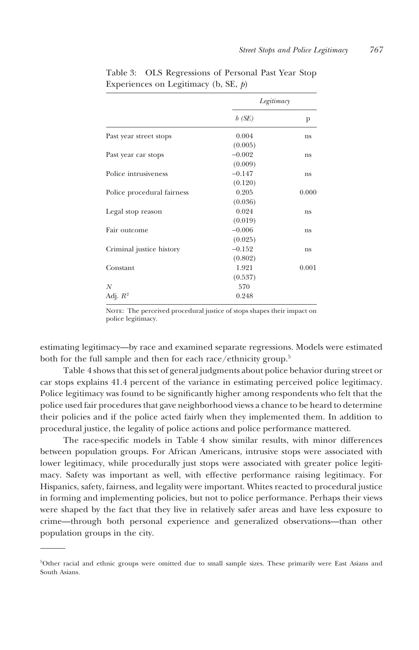| Legitimax |       |  |
|-----------|-------|--|
| b(SE)     | p     |  |
| 0.004     | ns    |  |
| (0.005)   |       |  |
| $-0.002$  | ns    |  |
| (0.009)   |       |  |
| $-0.147$  | ns    |  |
| (0.120)   |       |  |
| 0.205     | 0.000 |  |
| (0.036)   |       |  |
| 0.024     | ns    |  |
| (0.019)   |       |  |
| $-0.006$  | ns    |  |
| (0.025)   |       |  |
| $-0.152$  | ns    |  |
| (0.802)   |       |  |
| 1.921     | 0.001 |  |
| (0.537)   |       |  |
| 570       |       |  |
| 0.248     |       |  |
|           |       |  |

Table 3: OLS Regressions of Personal Past Year Stop Experiences on Legitimacy (b, SE, *p*)

NOTE: The perceived procedural justice of stops shapes their impact on police legitimacy.

estimating legitimacy—by race and examined separate regressions. Models were estimated both for the full sample and then for each race/ethnicity group.<sup>5</sup>

Table 4 shows that this set of general judgments about police behavior during street or car stops explains 41.4 percent of the variance in estimating perceived police legitimacy. Police legitimacy was found to be significantly higher among respondents who felt that the police used fair procedures that gave neighborhood views a chance to be heard to determine their policies and if the police acted fairly when they implemented them. In addition to procedural justice, the legality of police actions and police performance mattered.

The race-specific models in Table 4 show similar results, with minor differences between population groups. For African Americans, intrusive stops were associated with lower legitimacy, while procedurally just stops were associated with greater police legitimacy. Safety was important as well, with effective performance raising legitimacy. For Hispanics, safety, fairness, and legality were important. Whites reacted to procedural justice in forming and implementing policies, but not to police performance. Perhaps their views were shaped by the fact that they live in relatively safer areas and have less exposure to crime—through both personal experience and generalized observations—than other population groups in the city.

<sup>5</sup> Other racial and ethnic groups were omitted due to small sample sizes. These primarily were East Asians and South Asians.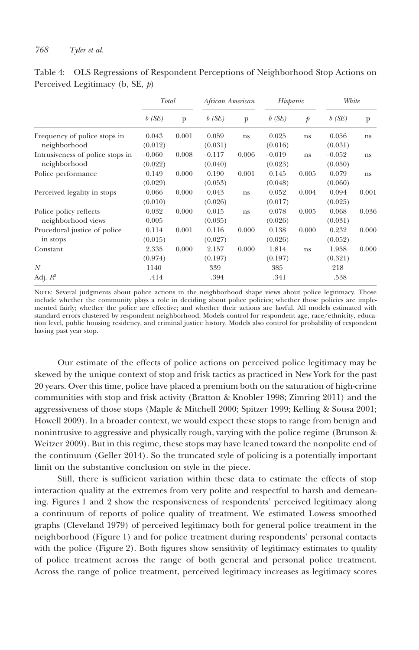|                                  | <b>Total</b> |       | African American |       | Hispanic |                | White    |       |
|----------------------------------|--------------|-------|------------------|-------|----------|----------------|----------|-------|
|                                  | b(SE)        | p     | b(SE)            | p     | b(SE)    | $\mathfrak{p}$ | b(SE)    | p     |
| Frequency of police stops in     | 0.043        | 0.001 | 0.059            | ns    | 0.025    | ns             | 0.056    | ns    |
| neighborhood                     | (0.012)      |       | (0.031)          |       | (0.016)  |                | (0.031)  |       |
| Intrusiveness of police stops in | $-0.060$     | 0.008 | $-0.117$         | 0.006 | $-0.019$ | ns             | $-0.052$ | ns    |
| neighborhood                     | (0.022)      |       | (0.040)          |       | (0.023)  |                | (0.050)  |       |
| Police performance               | 0.149        | 0.000 | 0.190            | 0.001 | 0.145    | 0.005          | 0.079    | ns    |
|                                  | (0.029)      |       | (0.053)          |       | (0.048)  |                | (0.060)  |       |
| Perceived legality in stops      | 0.066        | 0.000 | 0.043            | ns    | 0.052    | 0.004          | 0.094    | 0.001 |
|                                  | (0.010)      |       | (0.026)          |       | (0.017)  |                | (0.025)  |       |
| Police policy reflects           | 0.032        | 0.000 | 0.015            | ns    | 0.078    | 0.005          | 0.068    | 0.036 |
| neighborhood views               | 0.005        |       | (0.035)          |       | (0.026)  |                | (0.031)  |       |
| Procedural justice of police     | 0.114        | 0.001 | 0.116            | 0.000 | 0.138    | 0.000          | 0.232    | 0.000 |
| in stops                         | (0.015)      |       | (0.027)          |       | (0.026)  |                | (0.052)  |       |
| Constant                         | 2.335        | 0.000 | 2.157            | 0.000 | 1.814    | ns             | 1.958    | 0.000 |
|                                  | (0.974)      |       | (0.197)          |       | (0.197)  |                | (0.321)  |       |
| N                                | 1140         |       | 339              |       | 385      |                | 218      |       |
| Adj. $R^2$                       | .414         |       | .394             |       | .341     |                | .538     |       |

Table 4: OLS Regressions of Respondent Perceptions of Neighborhood Stop Actions on Perceived Legitimacy (b, SE, *p*)

NOTE: Several judgments about police actions in the neighborhood shape views about police legitimacy. Those include whether the community plays a role in deciding about police policies; whether those policies are implemented fairly; whether the police are effective; and whether their actions are lawful. All models estimated with standard errors clustered by respondent neighborhood. Models control for respondent age, race/ethnicity, education level, public housing residency, and criminal justice history. Models also control for probability of respondent having past year stop.

Our estimate of the effects of police actions on perceived police legitimacy may be skewed by the unique context of stop and frisk tactics as practiced in New York for the past 20 years. Over this time, police have placed a premium both on the saturation of high-crime communities with stop and frisk activity (Bratton & Knobler 1998; Zimring 2011) and the aggressiveness of those stops (Maple & Mitchell 2000; Spitzer 1999; Kelling & Sousa 2001; Howell 2009). In a broader context, we would expect these stops to range from benign and nonintrusive to aggressive and physically rough, varying with the police regime (Brunson & Weitzer 2009). But in this regime, these stops may have leaned toward the nonpolite end of the continuum (Geller 2014). So the truncated style of policing is a potentially important limit on the substantive conclusion on style in the piece.

Still, there is sufficient variation within these data to estimate the effects of stop interaction quality at the extremes from very polite and respectful to harsh and demeaning. Figures 1 and 2 show the responsiveness of respondents' perceived legitimacy along a continuum of reports of police quality of treatment. We estimated Lowess smoothed graphs (Cleveland 1979) of perceived legitimacy both for general police treatment in the neighborhood (Figure 1) and for police treatment during respondents' personal contacts with the police (Figure 2). Both figures show sensitivity of legitimacy estimates to quality of police treatment across the range of both general and personal police treatment. Across the range of police treatment, perceived legitimacy increases as legitimacy scores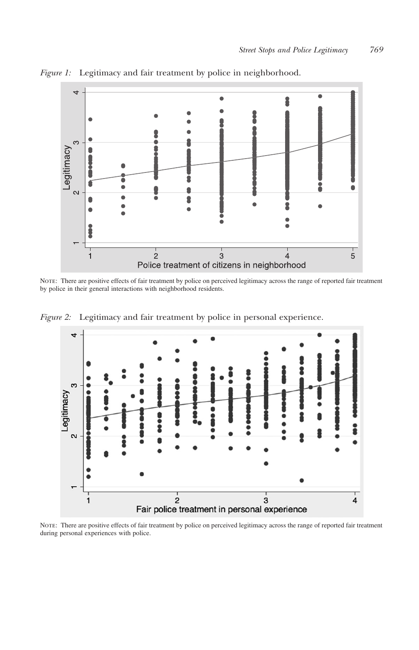

*Figure 1:* Legitimacy and fair treatment by police in neighborhood.

Note: There are positive effects of fair treatment by police on perceived legitimacy across the range of reported fair treatment by police in their general interactions with neighborhood residents.



*Figure 2:* Legitimacy and fair treatment by police in personal experience.

NOTE: There are positive effects of fair treatment by police on perceived legitimacy across the range of reported fair treatment during personal experiences with police.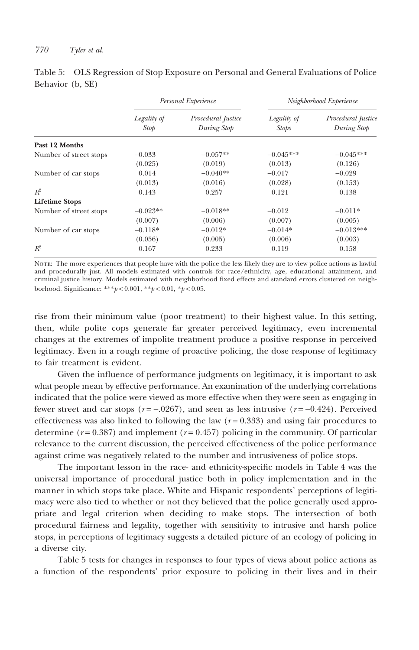|                        |                            | Personal Experience               | Neighborhood Experience     |                                   |  |
|------------------------|----------------------------|-----------------------------------|-----------------------------|-----------------------------------|--|
|                        | Legality of<br><b>Stop</b> | Procedural Justice<br>During Stop | Legality of<br><b>Stops</b> | Procedural Justice<br>During Stop |  |
| Past 12 Months         |                            |                                   |                             |                                   |  |
| Number of street stops | $-0.033$                   | $-0.057**$                        | $-0.045***$                 | $-0.045***$                       |  |
|                        | (0.025)                    | (0.019)                           | (0.013)                     | (0.126)                           |  |
| Number of car stops    | 0.014                      | $-0.040**$                        | $-0.017$                    | $-0.029$                          |  |
|                        | (0.013)                    | (0.016)                           | (0.028)                     | (0.153)                           |  |
| $R^2$                  | 0.143                      | 0.257                             | 0.121                       | 0.138                             |  |
| <b>Lifetime Stops</b>  |                            |                                   |                             |                                   |  |
| Number of street stops | $-0.023**$                 | $-0.018**$                        | $-0.012$                    | $-0.011*$                         |  |
|                        | (0.007)                    | (0.006)                           | (0.007)                     | (0.005)                           |  |
| Number of car stops    | $-0.118*$                  | $-0.012*$                         | $-0.014*$                   | $-0.013***$                       |  |
|                        | (0.056)                    | (0.005)                           | (0.006)                     | (0.003)                           |  |
| $R^2$                  | 0.167                      | 0.233                             | 0.119                       | 0.158                             |  |

Table 5: OLS Regression of Stop Exposure on Personal and General Evaluations of Police Behavior (b, SE)

Note: The more experiences that people have with the police the less likely they are to view police actions as lawful and procedurally just. All models estimated with controls for race/ethnicity, age, educational attainment, and criminal justice history. Models estimated with neighborhood fixed effects and standard errors clustered on neighborhood. Significance: \*\*\**p* < 0.001, \*\**p* < 0.01, \**p* < 0.05.

rise from their minimum value (poor treatment) to their highest value. In this setting, then, while polite cops generate far greater perceived legitimacy, even incremental changes at the extremes of impolite treatment produce a positive response in perceived legitimacy. Even in a rough regime of proactive policing, the dose response of legitimacy to fair treatment is evident.

Given the influence of performance judgments on legitimacy, it is important to ask what people mean by effective performance. An examination of the underlying correlations indicated that the police were viewed as more effective when they were seen as engaging in fewer street and car stops (*r* = −.0267), and seen as less intrusive (*r* = −0.424). Perceived effectiveness was also linked to following the law  $(r=0.333)$  and using fair procedures to determine  $(r=0.387)$  and implement  $(r=0.457)$  policing in the community. Of particular relevance to the current discussion, the perceived effectiveness of the police performance against crime was negatively related to the number and intrusiveness of police stops.

The important lesson in the race- and ethnicity-specific models in Table 4 was the universal importance of procedural justice both in policy implementation and in the manner in which stops take place. White and Hispanic respondents' perceptions of legitimacy were also tied to whether or not they believed that the police generally used appropriate and legal criterion when deciding to make stops. The intersection of both procedural fairness and legality, together with sensitivity to intrusive and harsh police stops, in perceptions of legitimacy suggests a detailed picture of an ecology of policing in a diverse city.

Table 5 tests for changes in responses to four types of views about police actions as a function of the respondents' prior exposure to policing in their lives and in their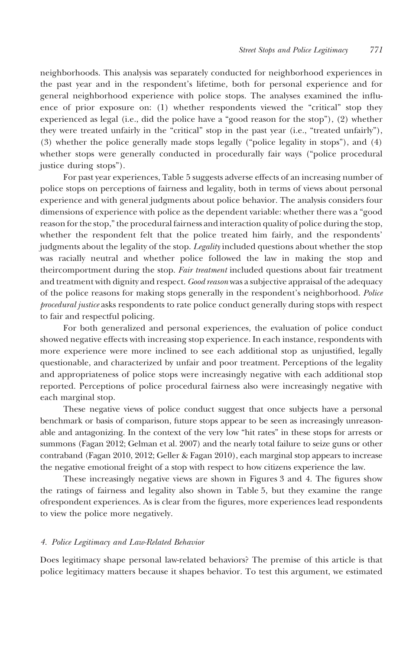neighborhoods. This analysis was separately conducted for neighborhood experiences in the past year and in the respondent's lifetime, both for personal experience and for general neighborhood experience with police stops. The analyses examined the influence of prior exposure on: (1) whether respondents viewed the "critical" stop they experienced as legal (i.e., did the police have a "good reason for the stop"), (2) whether they were treated unfairly in the "critical" stop in the past year (i.e., "treated unfairly"), (3) whether the police generally made stops legally ("police legality in stops"), and (4) whether stops were generally conducted in procedurally fair ways ("police procedural justice during stops").

For past year experiences, Table 5 suggests adverse effects of an increasing number of police stops on perceptions of fairness and legality, both in terms of views about personal experience and with general judgments about police behavior. The analysis considers four dimensions of experience with police as the dependent variable: whether there was a "good reason for the stop," the procedural fairness and interaction quality of police during the stop, whether the respondent felt that the police treated him fairly, and the respondents' judgments about the legality of the stop. *Legality* included questions about whether the stop was racially neutral and whether police followed the law in making the stop and theircomportment during the stop. *Fair treatment* included questions about fair treatment and treatment with dignity and respect. *Good reason* was a subjective appraisal of the adequacy of the police reasons for making stops generally in the respondent's neighborhood. *Police procedural justice* asks respondents to rate police conduct generally during stops with respect to fair and respectful policing.

For both generalized and personal experiences, the evaluation of police conduct showed negative effects with increasing stop experience. In each instance, respondents with more experience were more inclined to see each additional stop as unjustified, legally questionable, and characterized by unfair and poor treatment. Perceptions of the legality and appropriateness of police stops were increasingly negative with each additional stop reported. Perceptions of police procedural fairness also were increasingly negative with each marginal stop.

These negative views of police conduct suggest that once subjects have a personal benchmark or basis of comparison, future stops appear to be seen as increasingly unreasonable and antagonizing. In the context of the very low "hit rates" in these stops for arrests or summons (Fagan 2012; Gelman et al. 2007) and the nearly total failure to seize guns or other contraband (Fagan 2010, 2012; Geller & Fagan 2010), each marginal stop appears to increase the negative emotional freight of a stop with respect to how citizens experience the law.

These increasingly negative views are shown in Figures 3 and 4. The figures show the ratings of fairness and legality also shown in Table 5, but they examine the range ofrespondent experiences. As is clear from the figures, more experiences lead respondents to view the police more negatively.

#### *4. Police Legitimacy and Law-Related Behavior*

Does legitimacy shape personal law-related behaviors? The premise of this article is that police legitimacy matters because it shapes behavior. To test this argument, we estimated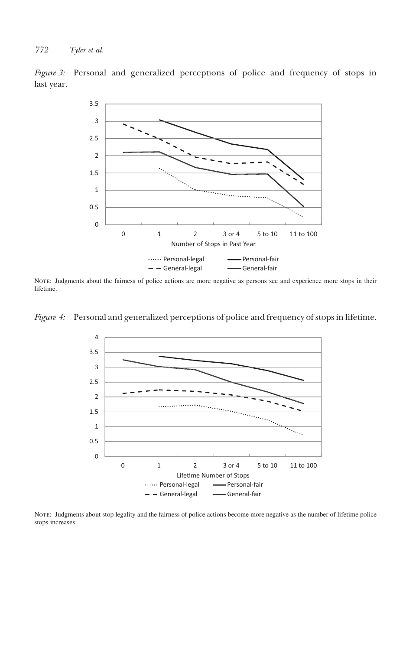*Figure 3:* Personal and generalized perceptions of police and frequency of stops in last year.



NOTE: Judgments about the fairness of police actions are more negative as persons see and experience more stops in their lifetime.





NOTE: Judgments about stop legality and the fairness of police actions become more negative as the number of lifetime police stops increases.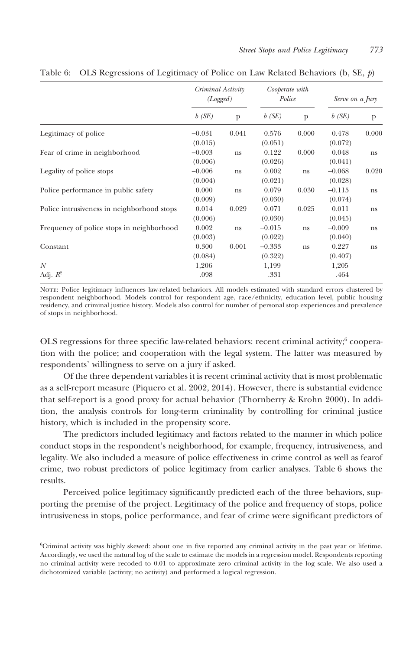|                                            | Criminal Activity<br>(Logged) |       | Cooperate with<br>Police |       | Serve on a Jury |       |
|--------------------------------------------|-------------------------------|-------|--------------------------|-------|-----------------|-------|
|                                            | b(SE)                         | p     | b(SE)                    | p     | b(SE)           | p     |
| Legitimacy of police                       | $-0.031$                      | 0.041 | 0.576                    | 0.000 | 0.478           | 0.000 |
|                                            | (0.015)                       |       | (0.051)                  |       | (0.072)         |       |
| Fear of crime in neighborhood              | $-0.003$                      | ns    | 0.122                    | 0.000 | 0.048           | ns    |
|                                            | (0.006)                       |       | (0.026)                  |       | (0.041)         |       |
| Legality of police stops                   | $-0.006$                      | ns    | 0.002                    | ns    | $-0.068$        | 0.020 |
|                                            | (0.004)                       |       | (0.021)                  |       | (0.028)         |       |
| Police performance in public safety        | 0.000                         | ns    | 0.079                    | 0.030 | $-0.115$        | ns    |
|                                            | (0.009)                       |       | (0.030)                  |       | (0.074)         |       |
| Police intrusiveness in neighborhood stops | 0.014                         | 0.029 | 0.071                    | 0.025 | 0.011           | ns    |
|                                            | (0.006)                       |       | (0.030)                  |       | (0.045)         |       |
| Frequency of police stops in neighborhood  | 0.002                         | ns    | $-0.015$                 | ns    | $-0.009$        | ns    |
|                                            | (0.003)                       |       | (0.022)                  |       | (0.040)         |       |
| Constant                                   | 0.300                         | 0.001 | $-0.333$                 | ns    | 0.227           | ns    |
|                                            | (0.084)                       |       | (0.322)                  |       | (0.407)         |       |
| N                                          | 1,206                         |       | 1,199                    |       | 1,205           |       |
| Adj. $R^2$                                 | .098                          |       | .331                     |       | .464            |       |

Table 6: OLS Regressions of Legitimacy of Police on Law Related Behaviors (b, SE, *p*)

NOTE: Police legitimacy influences law-related behaviors. All models estimated with standard errors clustered by respondent neighborhood. Models control for respondent age, race/ethnicity, education level, public housing residency, and criminal justice history. Models also control for number of personal stop experiences and prevalence of stops in neighborhood.

OLS regressions for three specific law-related behaviors: recent criminal activity;<sup>6</sup> cooperation with the police; and cooperation with the legal system. The latter was measured by respondents' willingness to serve on a jury if asked.

Of the three dependent variables it is recent criminal activity that is most problematic as a self-report measure (Piquero et al. 2002, 2014). However, there is substantial evidence that self-report is a good proxy for actual behavior (Thornberry & Krohn 2000). In addition, the analysis controls for long-term criminality by controlling for criminal justice history, which is included in the propensity score.

The predictors included legitimacy and factors related to the manner in which police conduct stops in the respondent's neighborhood, for example, frequency, intrusiveness, and legality. We also included a measure of police effectiveness in crime control as well as fearof crime, two robust predictors of police legitimacy from earlier analyses. Table 6 shows the results.

Perceived police legitimacy significantly predicted each of the three behaviors, supporting the premise of the project. Legitimacy of the police and frequency of stops, police intrusiveness in stops, police performance, and fear of crime were significant predictors of

<sup>6</sup> Criminal activity was highly skewed: about one in five reported any criminal activity in the past year or lifetime. Accordingly, we used the natural log of the scale to estimate the models in a regression model. Respondents reporting no criminal activity were recoded to 0.01 to approximate zero criminal activity in the log scale. We also used a dichotomized variable (activity; no activity) and performed a logical regression.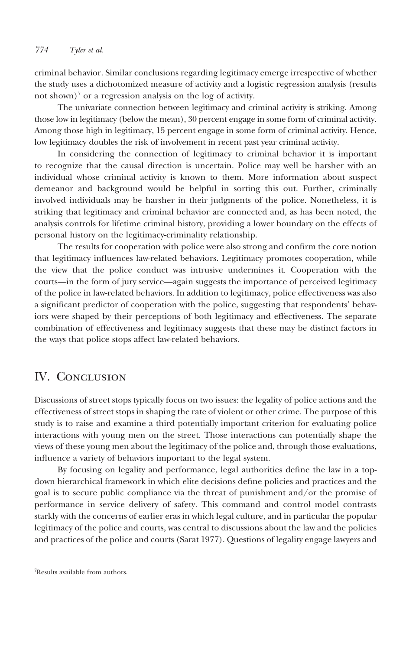criminal behavior. Similar conclusions regarding legitimacy emerge irrespective of whether the study uses a dichotomized measure of activity and a logistic regression analysis (results not shown)<sup>7</sup> or a regression analysis on the log of activity.

The univariate connection between legitimacy and criminal activity is striking. Among those low in legitimacy (below the mean), 30 percent engage in some form of criminal activity. Among those high in legitimacy, 15 percent engage in some form of criminal activity. Hence, low legitimacy doubles the risk of involvement in recent past year criminal activity.

In considering the connection of legitimacy to criminal behavior it is important to recognize that the causal direction is uncertain. Police may well be harsher with an individual whose criminal activity is known to them. More information about suspect demeanor and background would be helpful in sorting this out. Further, criminally involved individuals may be harsher in their judgments of the police. Nonetheless, it is striking that legitimacy and criminal behavior are connected and, as has been noted, the analysis controls for lifetime criminal history, providing a lower boundary on the effects of personal history on the legitimacy-criminality relationship.

The results for cooperation with police were also strong and confirm the core notion that legitimacy influences law-related behaviors. Legitimacy promotes cooperation, while the view that the police conduct was intrusive undermines it. Cooperation with the courts—in the form of jury service—again suggests the importance of perceived legitimacy of the police in law-related behaviors. In addition to legitimacy, police effectiveness was also a significant predictor of cooperation with the police, suggesting that respondents' behaviors were shaped by their perceptions of both legitimacy and effectiveness. The separate combination of effectiveness and legitimacy suggests that these may be distinct factors in the ways that police stops affect law-related behaviors.

# IV. Conclusion

Discussions of street stops typically focus on two issues: the legality of police actions and the effectiveness of street stops in shaping the rate of violent or other crime. The purpose of this study is to raise and examine a third potentially important criterion for evaluating police interactions with young men on the street. Those interactions can potentially shape the views of these young men about the legitimacy of the police and, through those evaluations, influence a variety of behaviors important to the legal system.

By focusing on legality and performance, legal authorities define the law in a topdown hierarchical framework in which elite decisions define policies and practices and the goal is to secure public compliance via the threat of punishment and/or the promise of performance in service delivery of safety. This command and control model contrasts starkly with the concerns of earlier eras in which legal culture, and in particular the popular legitimacy of the police and courts, was central to discussions about the law and the policies and practices of the police and courts (Sarat 1977). Questions of legality engage lawyers and

<sup>7</sup> Results available from authors.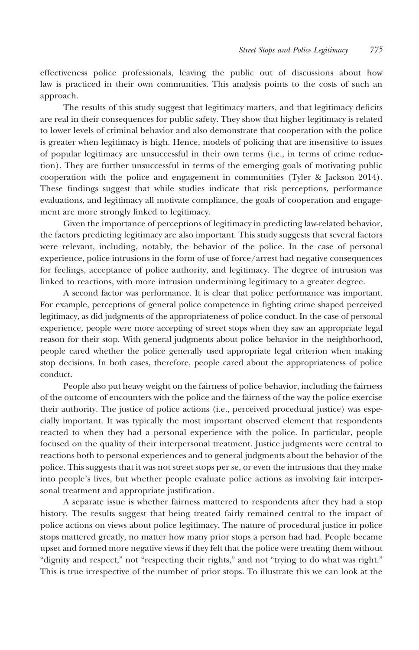effectiveness police professionals, leaving the public out of discussions about how law is practiced in their own communities. This analysis points to the costs of such an approach.

The results of this study suggest that legitimacy matters, and that legitimacy deficits are real in their consequences for public safety. They show that higher legitimacy is related to lower levels of criminal behavior and also demonstrate that cooperation with the police is greater when legitimacy is high. Hence, models of policing that are insensitive to issues of popular legitimacy are unsuccessful in their own terms (i.e., in terms of crime reduction). They are further unsuccessful in terms of the emerging goals of motivating public cooperation with the police and engagement in communities (Tyler & Jackson 2014). These findings suggest that while studies indicate that risk perceptions, performance evaluations, and legitimacy all motivate compliance, the goals of cooperation and engagement are more strongly linked to legitimacy.

Given the importance of perceptions of legitimacy in predicting law-related behavior, the factors predicting legitimacy are also important. This study suggests that several factors were relevant, including, notably, the behavior of the police. In the case of personal experience, police intrusions in the form of use of force/arrest had negative consequences for feelings, acceptance of police authority, and legitimacy. The degree of intrusion was linked to reactions, with more intrusion undermining legitimacy to a greater degree.

A second factor was performance. It is clear that police performance was important. For example, perceptions of general police competence in fighting crime shaped perceived legitimacy, as did judgments of the appropriateness of police conduct. In the case of personal experience, people were more accepting of street stops when they saw an appropriate legal reason for their stop. With general judgments about police behavior in the neighborhood, people cared whether the police generally used appropriate legal criterion when making stop decisions. In both cases, therefore, people cared about the appropriateness of police conduct.

People also put heavy weight on the fairness of police behavior, including the fairness of the outcome of encounters with the police and the fairness of the way the police exercise their authority. The justice of police actions (i.e., perceived procedural justice) was especially important. It was typically the most important observed element that respondents reacted to when they had a personal experience with the police. In particular, people focused on the quality of their interpersonal treatment. Justice judgments were central to reactions both to personal experiences and to general judgments about the behavior of the police. This suggests that it was not street stops per se, or even the intrusions that they make into people's lives, but whether people evaluate police actions as involving fair interpersonal treatment and appropriate justification.

A separate issue is whether fairness mattered to respondents after they had a stop history. The results suggest that being treated fairly remained central to the impact of police actions on views about police legitimacy. The nature of procedural justice in police stops mattered greatly, no matter how many prior stops a person had had. People became upset and formed more negative views if they felt that the police were treating them without "dignity and respect," not "respecting their rights," and not "trying to do what was right." This is true irrespective of the number of prior stops. To illustrate this we can look at the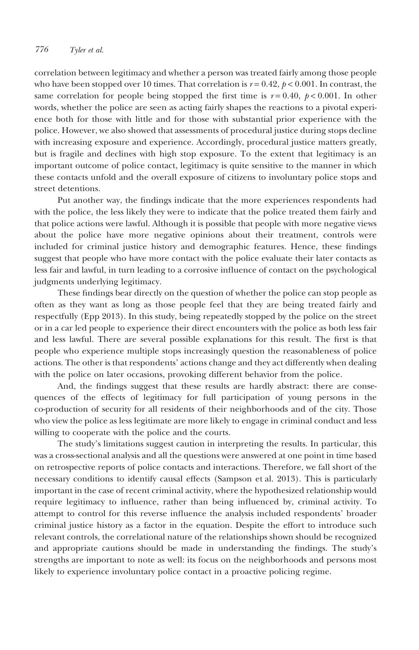correlation between legitimacy and whether a person was treated fairly among those people who have been stopped over 10 times. That correlation is  $r = 0.42$ ,  $p < 0.001$ . In contrast, the same correlation for people being stopped the first time is  $r = 0.40$ ,  $p < 0.001$ . In other words, whether the police are seen as acting fairly shapes the reactions to a pivotal experience both for those with little and for those with substantial prior experience with the police. However, we also showed that assessments of procedural justice during stops decline with increasing exposure and experience. Accordingly, procedural justice matters greatly, but is fragile and declines with high stop exposure. To the extent that legitimacy is an important outcome of police contact, legitimacy is quite sensitive to the manner in which these contacts unfold and the overall exposure of citizens to involuntary police stops and street detentions.

Put another way, the findings indicate that the more experiences respondents had with the police, the less likely they were to indicate that the police treated them fairly and that police actions were lawful. Although it is possible that people with more negative views about the police have more negative opinions about their treatment, controls were included for criminal justice history and demographic features. Hence, these findings suggest that people who have more contact with the police evaluate their later contacts as less fair and lawful, in turn leading to a corrosive influence of contact on the psychological judgments underlying legitimacy.

These findings bear directly on the question of whether the police can stop people as often as they want as long as those people feel that they are being treated fairly and respectfully (Epp 2013). In this study, being repeatedly stopped by the police on the street or in a car led people to experience their direct encounters with the police as both less fair and less lawful. There are several possible explanations for this result. The first is that people who experience multiple stops increasingly question the reasonableness of police actions. The other is that respondents' actions change and they act differently when dealing with the police on later occasions, provoking different behavior from the police.

And, the findings suggest that these results are hardly abstract: there are consequences of the effects of legitimacy for full participation of young persons in the co-production of security for all residents of their neighborhoods and of the city. Those who view the police as less legitimate are more likely to engage in criminal conduct and less willing to cooperate with the police and the courts.

The study's limitations suggest caution in interpreting the results. In particular, this was a cross-sectional analysis and all the questions were answered at one point in time based on retrospective reports of police contacts and interactions. Therefore, we fall short of the necessary conditions to identify causal effects (Sampson et al. 2013). This is particularly important in the case of recent criminal activity, where the hypothesized relationship would require legitimacy to influence, rather than being influenced by, criminal activity. To attempt to control for this reverse influence the analysis included respondents' broader criminal justice history as a factor in the equation. Despite the effort to introduce such relevant controls, the correlational nature of the relationships shown should be recognized and appropriate cautions should be made in understanding the findings. The study's strengths are important to note as well: its focus on the neighborhoods and persons most likely to experience involuntary police contact in a proactive policing regime.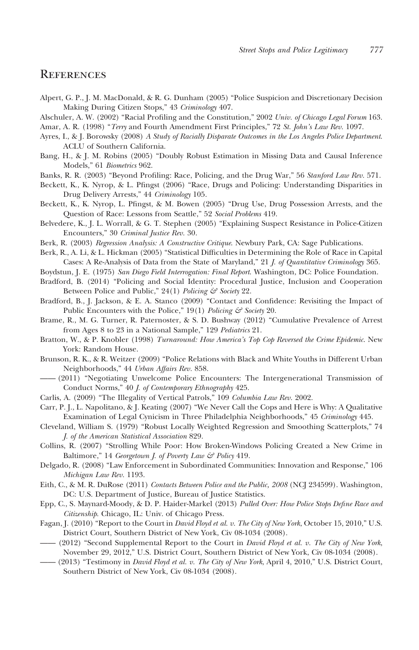# **REFERENCES**

- Alpert, G. P., J. M. MacDonald, & R. G. Dunham (2005) "Police Suspicion and Discretionary Decision Making During Citizen Stops," 43 *Criminology* 407.
- Alschuler, A. W. (2002) "Racial Profiling and the Constitution," 2002 *Univ. of Chicago Legal Forum* 163.
- Amar, A. R. (1998) "*Terry* and Fourth Amendment First Principles," 72 *St. John's Law Rev.* 1097.
- Ayres, I., & J. Borowsky (2008) *A Study of Racially Disparate Outcomes in the Los Angeles Police Department*. ACLU of Southern California.
- Bang, H., & J. M. Robins (2005) "Doubly Robust Estimation in Missing Data and Causal Inference Models," 61 *Biometrics* 962.
- Banks, R. R. (2003) "Beyond Profiling: Race, Policing, and the Drug War," 56 *Stanford Law Rev.* 571.
- Beckett, K., K. Nyrop, & L. Pfingst (2006) "Race, Drugs and Policing: Understanding Disparities in Drug Delivery Arrests," 44 *Criminology* 105.
- Beckett, K., K. Nyrop, L. Pfingst, & M. Bowen (2005) "Drug Use, Drug Possession Arrests, and the Question of Race: Lessons from Seattle," 52 *Social Problems* 419.
- Belvedere, K., J. L. Worrall, & G. T. Stephen (2005) "Explaining Suspect Resistance in Police-Citizen Encounters," 30 *Criminal Justice Rev.* 30.
- Berk, R. (2003) *Regression Analysis: A Constructive Critique*. Newbury Park, CA: Sage Publications.
- Berk, R., A. Li, & L. Hickman (2005) "Statistical Difficulties in Determining the Role of Race in Capital Cases: A Re-Analysis of Data from the State of Maryland," 21 *J. of Quantitative Criminology* 365.
- Boydstun, J. E. (1975) *San Diego Field Interrogation: Final Report*. Washington, DC: Police Foundation.
- Bradford, B. (2014) "Policing and Social Identity: Procedural Justice, Inclusion and Cooperation Between Police and Public," 24(1) *Policing & Society* 22.
- Bradford, B., J. Jackson, & E. A. Stanco (2009) "Contact and Confidence: Revisiting the Impact of Public Encounters with the Police," 19(1) *Policing & Society* 20.
- Brame, R., M. G. Turner, R. Paternoster, & S. D. Bushway (2012) "Cumulative Prevalence of Arrest from Ages 8 to 23 in a National Sample," 129 *Pediatrics* 21.
- Bratton, W., & P. Knobler (1998) *Turnaround: How America's Top Cop Reversed the Crime Epidemic*. New York: Random House.
- Brunson, R. K., & R. Weitzer (2009) "Police Relations with Black and White Youths in Different Urban Neighborhoods," 44 *Urban Affairs Rev.* 858.
- —— (2011) "Negotiating Unwelcome Police Encounters: The Intergenerational Transmission of Conduct Norms," 40 *J. of Contemporary Ethnography* 425.
- Carlis, A. (2009) "The Illegality of Vertical Patrols," 109 *Columbia Law Rev.* 2002.
- Carr, P. J., L. Napolitano, & J. Keating (2007) "We Never Call the Cops and Here is Why: A Qualitative Examination of Legal Cynicism in Three Philadelphia Neighborhoods," 45 *Criminology* 445.
- Cleveland, William S. (1979) "Robust Locally Weighted Regression and Smoothing Scatterplots," 74 *J. of the American Statistical Association* 829.
- Collins, R. (2007) "Strolling While Poor: How Broken-Windows Policing Created a New Crime in Baltimore," 14 *Georgetown J. of Poverty Law & Policy* 419.
- Delgado, R. (2008) "Law Enforcement in Subordinated Communities: Innovation and Response," 106 *Michigan Law Rev.* 1193.
- Eith, C., & M. R. DuRose (2011) *Contacts Between Police and the Public, 2008* (NCJ 234599). Washington, DC: U.S. Department of Justice, Bureau of Justice Statistics.
- Epp, C., S. Maynard-Moody, & D. P. Haider-Markel (2013) *Pulled Over: How Police Stops Define Race and Citizenship*. Chicago, IL: Univ. of Chicago Press.
- Fagan, J. (2010) "Report to the Court in *David Floyd et al. v. The City of New York*, October 15, 2010," U.S. District Court, Southern District of New York, Civ 08-1034 (2008).
- —— (2012) "Second Supplemental Report to the Court in *David Floyd et al. v. The City of New York*, November 29, 2012," U.S. District Court, Southern District of New York, Civ 08-1034 (2008).
- —— (2013) "Testimony in *David Floyd et al. v. The City of New York*, April 4, 2010," U.S. District Court, Southern District of New York, Civ 08-1034 (2008).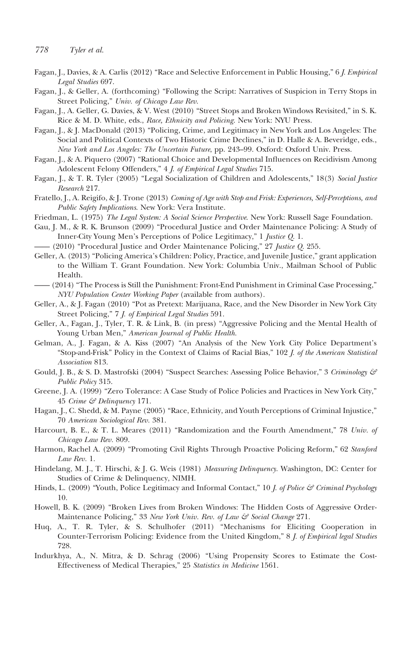- Fagan, J., Davies, & A. Carlis (2012) "Race and Selective Enforcement in Public Housing," 6 *J. Empirical Legal Studies* 697.
- Fagan, J., & Geller, A. (forthcoming) "Following the Script: Narratives of Suspicion in Terry Stops in Street Policing," *Univ. of Chicago Law Rev*.
- Fagan, J., A. Geller, G. Davies, & V. West (2010) "Street Stops and Broken Windows Revisited," in S. K. Rice & M. D. White, eds., *Race, Ethnicity and Policing*. New York: NYU Press.
- Fagan, J., & J. MacDonald (2013) "Policing, Crime, and Legitimacy in New York and Los Angeles: The Social and Political Contexts of Two Historic Crime Declines," in D. Halle & A. Beveridge, eds., *New York and Los Angeles: The Uncertain Future*, pp. 243–99. Oxford: Oxford Univ. Press.
- Fagan, J., & A. Piquero (2007) "Rational Choice and Developmental Influences on Recidivism Among Adolescent Felony Offenders," 4 *J. of Empirical Legal Studies* 715.
- Fagan, J., & T. R. Tyler (2005) "Legal Socialization of Children and Adolescents," 18(3) *Social Justice Research* 217.
- Fratello, J., A. Reigifo, & J. Trone (2013) *Coming of Age with Stop and Frisk: Experiences, Self-Perceptions, and Public Safety Implications*. New York: Vera Institute.
- Friedman, L. (1975) *The Legal System: A Social Science Perspective*. New York: Russell Sage Foundation.
- Gau, J. M., & R. K. Brunson (2009) "Procedural Justice and Order Maintenance Policing: A Study of Inner-City Young Men's Perceptions of Police Legitimacy," 1 *Justice Q.* 1.
- —— (2010) "Procedural Justice and Order Maintenance Policing," 27 *Justice Q.* 255.
- Geller, A. (2013) "Policing America's Children: Policy, Practice, and Juvenile Justice," grant application to the William T. Grant Foundation. New York: Columbia Univ., Mailman School of Public Health.
- —— (2014) "The Process is Still the Punishment: Front-End Punishment in Criminal Case Processing," *NYU Population Center Working Paper* (available from authors).
- Geller, A., & J. Fagan (2010) "Pot as Pretext: Marijuana, Race, and the New Disorder in New York City Street Policing," 7 *J. of Empirical Legal Studies* 591.
- Geller, A., Fagan, J., Tyler, T. R. & Link, B. (in press) "Aggressive Policing and the Mental Health of Young Urban Men," *American Journal of Public Health.*
- Gelman, A., J. Fagan, & A. Kiss (2007) "An Analysis of the New York City Police Department's "Stop-and-Frisk" Policy in the Context of Claims of Racial Bias," 102 *J. of the American Statistical Association* 813.
- Gould, J. B., & S. D. Mastrofski (2004) "Suspect Searches: Assessing Police Behavior," 3 *Criminology & Public Policy* 315.
- Greene, J. A. (1999) "Zero Tolerance: A Case Study of Police Policies and Practices in New York City," 45 *Crime & Delinquency* 171.
- Hagan, J., C. Shedd, & M. Payne (2005) "Race, Ethnicity, and Youth Perceptions of Criminal Injustice," 70 *American Sociological Rev.* 381.
- Harcourt, B. E., & T. L. Meares (2011) "Randomization and the Fourth Amendment," 78 *Univ. of Chicago Law Rev.* 809.
- Harmon, Rachel A. (2009) "Promoting Civil Rights Through Proactive Policing Reform," 62 *Stanford Law Rev.* 1.
- Hindelang, M. J., T. Hirschi, & J. G. Weis (1981) *Measuring Delinquency*. Washington, DC: Center for Studies of Crime & Delinquency, NIMH.
- Hinds, L. (2009) "Youth, Police Legitimacy and Informal Contact," 10 *J. of Police & Criminal Psychology* 10.
- Howell, B. K. (2009) "Broken Lives from Broken Windows: The Hidden Costs of Aggressive Order-Maintenance Policing," 33 *New York Univ. Rev. of Law & Social Change* 271.
- Huq, A., T. R. Tyler, & S. Schulhofer (2011) "Mechanisms for Eliciting Cooperation in Counter-Terrorism Policing: Evidence from the United Kingdom," 8 *J. of Empirical legal Studies* 728.
- Indurkhya, A., N. Mitra, & D. Schrag (2006) "Using Propensity Scores to Estimate the Cost-Effectiveness of Medical Therapies," 25 *Statistics in Medicine* 1561.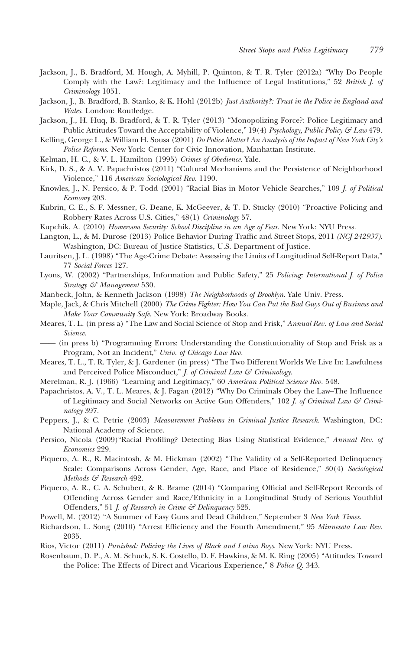- Jackson, J., B. Bradford, M. Hough, A. Myhill, P. Quinton, & T. R. Tyler (2012a) "Why Do People Comply with the Law?: Legitimacy and the Influence of Legal Institutions," 52 *British J. of Criminology* 1051.
- Jackson, J., B. Bradford, B. Stanko, & K. Hohl (2012b) *Just Authority?: Trust in the Police in England and Wales*. London: Routledge.
- Jackson, J., H. Huq, B. Bradford, & T. R. Tyler (2013) "Monopolizing Force?: Police Legitimacy and Public Attitudes Toward the Acceptability of Violence," 19(4) *Psychology, Public Policy & Law* 479.

Kelling, George L., & William H. Sousa (2001) *Do Police Matter? An Analysis of the Impact of New York City's Police Reforms*. New York: Center for Civic Innovation, Manhattan Institute.

- Kelman, H. C., & V. L. Hamilton (1995) *Crimes of Obedience*. Yale.
- Kirk, D. S., & A. V. Papachristos (2011) "Cultural Mechanisms and the Persistence of Neighborhood Violence," 116 *American Sociological Rev.* 1190.
- Knowles, J., N. Persico, & P. Todd (2001) "Racial Bias in Motor Vehicle Searches," 109 *J. of Political Economy* 203.
- Kubrin, C. E., S. F. Messner, G. Deane, K. McGeever, & T. D. Stucky (2010) "Proactive Policing and Robbery Rates Across U.S. Cities," 48(1) *Criminology* 57.
- Kupchik, A. (2010) *Homeroom Security: School Discipline in an Age of Fear*. New York: NYU Press.
- Langton, L., & M. Durose (2013) Police Behavior During Traffic and Street Stops, 2011 *(NCJ 242937)*. Washington, DC: Bureau of Justice Statistics, U.S. Department of Justice.
- Lauritsen, J. L. (1998) "The Age-Crime Debate: Assessing the Limits of Longitudinal Self-Report Data," 77 *Social Forces* 127.
- Lyons, W. (2002) "Partnerships, Information and Public Safety," 25 *Policing: International J. of Police Strategy & Management* 530.
- Manbeck, John, & Kenneth Jackson (1998) *The Neighborhoods of Brooklyn*. Yale Univ. Press.

Maple, Jack, & Chris Mitchell (2000) *The Crime Fighter: How You Can Put the Bad Guys Out of Business and Make Your Community Safe*. New York: Broadway Books.

- Meares, T. L. (in press a) "The Law and Social Science of Stop and Frisk," *Annual Rev. of Law and Social Science.*
- —— (in press b) "Programming Errors: Understanding the Constitutionality of Stop and Frisk as a Program, Not an Incident," *Univ. of Chicago Law Rev.*
- Meares, T. L., T. R. Tyler, & J. Gardener (in press) "The Two Different Worlds We Live In: Lawfulness and Perceived Police Misconduct," *J. of Criminal Law & Criminology*.
- Merelman, R. J. (1966) "Learning and Legitimacy," 60 *American Political Science Rev.* 548.
- Papachristos, A. V., T. L. Meares, & J. Fagan (2012) "Why Do Criminals Obey the Law–The Influence of Legitimacy and Social Networks on Active Gun Offenders," 102 *J. of Criminal Law & Criminology* 397.
- Peppers, J., & C. Petrie (2003) *Measurement Problems in Criminal Justice Research*. Washington, DC: National Academy of Science.
- Persico, Nicola (2009)"Racial Profiling? Detecting Bias Using Statistical Evidence," *Annual Rev. of Economics* 229.
- Piquero, A. R., R. Macintosh, & M. Hickman (2002) "The Validity of a Self-Reported Delinquency Scale: Comparisons Across Gender, Age, Race, and Place of Residence," 30(4) *Sociological Methods & Research* 492.
- Piquero, A. R., C. A. Schubert, & R. Brame (2014) "Comparing Official and Self-Report Records of Offending Across Gender and Race/Ethnicity in a Longitudinal Study of Serious Youthful Offenders," 51 *J. of Research in Crime & Delinquency* 525.
- Powell, M. (2012) "A Summer of Easy Guns and Dead Children," September 3 *New York Times*.
- Richardson, L. Song (2010) "Arrest Efficiency and the Fourth Amendment," 95 *Minnesota Law Rev.* 2035.
- Rios, Victor (2011) *Punished: Policing the Lives of Black and Latino Boys*. New York: NYU Press.
- Rosenbaum, D. P., A. M. Schuck, S. K. Costello, D. F. Hawkins, & M. K. Ring (2005) "Attitudes Toward the Police: The Effects of Direct and Vicarious Experience," 8 *Police Q.* 343.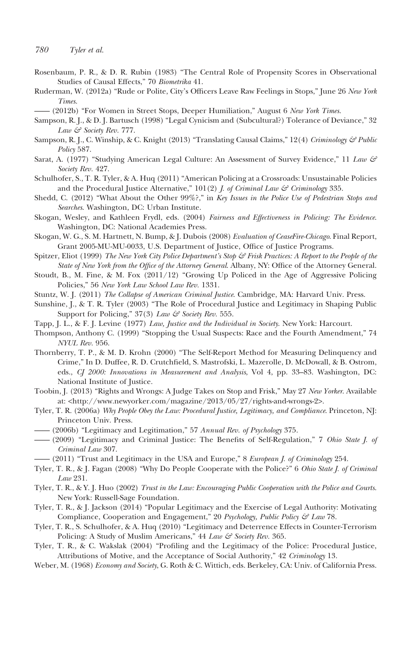- Rosenbaum, P. R., & D. R. Rubin (1983) "The Central Role of Propensity Scores in Observational Studies of Causal Effects," 70 *Biometrika* 41.
- Ruderman, W. (2012a) "Rude or Polite, City's Officers Leave Raw Feelings in Stops," June 26 *New York Times*.
- —— (2012b) "For Women in Street Stops, Deeper Humiliation," August 6 *New York Times*.
- Sampson, R. J., & D. J. Bartusch (1998) "Legal Cynicism and (Subcultural?) Tolerance of Deviance," 32 *Law & Society Rev.* 777.
- Sampson, R. J., C. Winship, & C. Knight (2013) "Translating Causal Claims," 12(4) *Criminology & Public Policy* 587.
- Sarat, A. (1977) "Studying American Legal Culture: An Assessment of Survey Evidence," 11 *Law & Society Rev.* 427.
- Schulhofer, S., T. R. Tyler, & A. Huq (2011) "American Policing at a Crossroads: Unsustainable Policies and the Procedural Justice Alternative," 101(2) *J. of Criminal Law & Criminology* 335.
- Shedd, C. (2012) "What About the Other 99%?," in *Key Issues in the Police Use of Pedestrian Stops and Searches*. Washington, DC: Urban Institute.
- Skogan, Wesley, and Kathleen Frydl, eds. (2004) *Fairness and Effectiveness in Policing: The Evidence*. Washington, DC: National Academies Press.
- Skogan, W. G., S. M. Hartnett, N. Bump, & J. Dubois (2008) *Evaluation of CeaseFire-Chicago*. Final Report, Grant 2005-MU-MU-0033, U.S. Department of Justice, Office of Justice Programs.
- Spitzer, Eliot (1999) *The New York City Police Department's Stop & Frisk Practices: A Report to the People of the State of New York from the Office of the Attorney General*. Albany, NY: Office of the Attorney General.
- Stoudt, B., M. Fine, & M. Fox (2011/12) "Growing Up Policed in the Age of Aggressive Policing Policies," 56 *New York Law School Law Rev.* 1331.
- Stuntz, W. J. (2011) *The Collapse of American Criminal Justice*. Cambridge, MA: Harvard Univ. Press.
- Sunshine, J., & T. R. Tyler (2003) "The Role of Procedural Justice and Legitimacy in Shaping Public Support for Policing," 37(3) *Law & Society Rev.* 555.
- Tapp, J. L., & F. J. Levine (1977) *Law, Justice and the Individual in Society*. New York: Harcourt.
- Thompson, Anthony C. (1999) "Stopping the Usual Suspects: Race and the Fourth Amendment," 74 *NYUL Rev.* 956.
- Thornberry, T. P., & M. D. Krohn (2000) "The Self-Report Method for Measuring Delinquency and Crime," In D. Duffee, R. D. Crutchfield, S. Mastrofski, L. Mazerolle, D. McDowall, & B. Ostrom, eds., *CJ 2000: Innovations in Measurement and Analysis*, Vol 4, pp. 33–83. Washington, DC: National Institute of Justice.
- Toobin, J. (2013) "Rights and Wrongs: A Judge Takes on Stop and Frisk," May 27 *New Yorker*. Available at: <<http://www.newyorker.com/magazine/2013/05/27/rights-and-wrongs-2>>.
- Tyler, T. R. (2006a) *Why People Obey the Law: Procedural Justice, Legitimacy, and Compliance*. Princeton, NJ: Princeton Univ. Press.
- —— (2006b) "Legitimacy and Legitimation," 57 *Annual Rev. of Psychology* 375.
- —— (2009) "Legitimacy and Criminal Justice: The Benefits of Self-Regulation," 7 *Ohio State J. of Criminal Law* 307.
- —— (2011) "Trust and Legitimacy in the USA and Europe," 8 *European J. of Criminology* 254.
- Tyler, T. R., & J. Fagan (2008) "Why Do People Cooperate with the Police?" 6 *Ohio State J. of Criminal Law* 231.
- Tyler, T. R., & Y. J. Huo (2002) *Trust in the Law: Encouraging Public Cooperation with the Police and Courts*. New York: Russell-Sage Foundation.
- Tyler, T. R., & J. Jackson (2014) "Popular Legitimacy and the Exercise of Legal Authority: Motivating Compliance, Cooperation and Engagement," 20 *Psychology, Public Policy & Law* 78.
- Tyler, T. R., S. Schulhofer, & A. Huq (2010) "Legitimacy and Deterrence Effects in Counter-Terrorism Policing: A Study of Muslim Americans," 44 *Law & Society Rev.* 365.
- Tyler, T. R., & C. Wakslak (2004) "Profiling and the Legitimacy of the Police: Procedural Justice, Attributions of Motive, and the Acceptance of Social Authority," 42 *Criminology* 13.
- Weber, M. (1968) *Economy and Society*, G. Roth & C. Wittich, eds. Berkeley, CA: Univ. of California Press.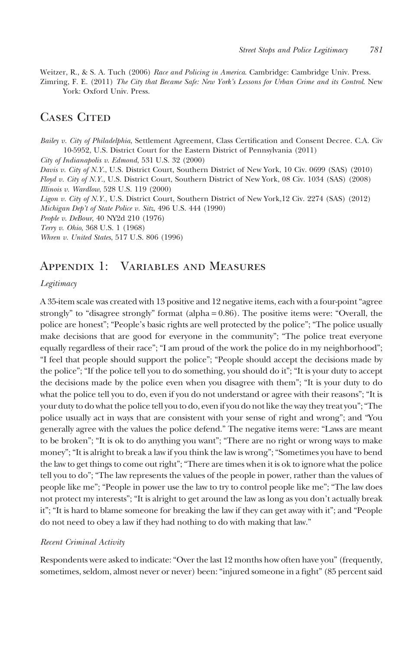Weitzer, R., & S. A. Tuch (2006) *Race and Policing in America*. Cambridge: Cambridge Univ. Press.

Zimring, F. E. (2011) *The City that Became Safe: New York's Lessons for Urban Crime and its Control*. New York: Oxford Univ. Press.

# CASES CITED

*Bailey v. City of Philadelphia*, Settlement Agreement, Class Certification and Consent Decree. C.A. Civ 10-5952, U.S. District Court for the Eastern District of Pennsylvania (2011) *City of Indianapolis v*. *Edmond*, 531 U.S. 32 (2000) *Davis v. City of N.Y.*, U.S. District Court, Southern District of New York, 10 Civ. 0699 (SAS) (2010) *Floyd v. City of N.Y.*, U.S. District Court, Southern District of New York, 08 Civ. 1034 (SAS) (2008) *Illinois v. Wardlow*, 528 U.S. 119 (2000) *Ligon v. City of N.Y.*, U.S. District Court, Southern District of New York,12 Civ. 2274 (SAS) (2012) *Michigan Dep't of State Police v. Sitz*, 496 U.S. 444 (1990) *People v*. *DeBour*, 40 NY2d 210 (1976) *Terry v*. *Ohio*, 368 U.S. 1 (1968) *Whren v. United States*, 517 U.S. 806 (1996)

# Appendix 1: Variables and Measures

#### *Legitimacy*

A 35-item scale was created with 13 positive and 12 negative items, each with a four-point "agree strongly" to "disagree strongly" format (alpha = 0.86). The positive items were: "Overall, the police are honest"; "People's basic rights are well protected by the police"; "The police usually make decisions that are good for everyone in the community"; "The police treat everyone equally regardless of their race"; "I am proud of the work the police do in my neighborhood"; "I feel that people should support the police"; "People should accept the decisions made by the police"; "If the police tell you to do something, you should do it"; "It is your duty to accept the decisions made by the police even when you disagree with them"; "It is your duty to do what the police tell you to do, even if you do not understand or agree with their reasons"; "It is your duty to do what the police tell you to do, even if you do not like the way they treat you"; "The police usually act in ways that are consistent with your sense of right and wrong"; and "You generally agree with the values the police defend." The negative items were: "Laws are meant to be broken"; "It is ok to do anything you want"; "There are no right or wrong ways to make money"; "It is alright to break a law if you think the law is wrong"; "Sometimes you have to bend the law to get things to come out right"; "There are times when it is ok to ignore what the police tell you to do"; "The law represents the values of the people in power, rather than the values of people like me"; "People in power use the law to try to control people like me"; "The law does not protect my interests"; "It is alright to get around the law as long as you don't actually break it"; "It is hard to blame someone for breaking the law if they can get away with it"; and "People do not need to obey a law if they had nothing to do with making that law."

#### *Recent Criminal Activity*

Respondents were asked to indicate: "Over the last 12 months how often have you" (frequently, sometimes, seldom, almost never or never) been: "injured someone in a fight" (85 percent said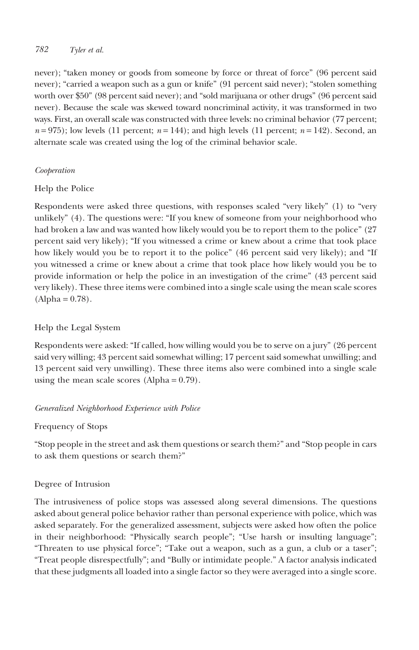never); "taken money or goods from someone by force or threat of force" (96 percent said never); "carried a weapon such as a gun or knife" (91 percent said never); "stolen something worth over \$50" (98 percent said never); and "sold marijuana or other drugs" (96 percent said never). Because the scale was skewed toward noncriminal activity, it was transformed in two ways. First, an overall scale was constructed with three levels: no criminal behavior (77 percent;  $n=975$ ; low levels (11 percent;  $n=144$ ); and high levels (11 percent;  $n=142$ ). Second, an alternate scale was created using the log of the criminal behavior scale.

# *Cooperation*

# Help the Police

Respondents were asked three questions, with responses scaled "very likely" (1) to "very unlikely" (4). The questions were: "If you knew of someone from your neighborhood who had broken a law and was wanted how likely would you be to report them to the police" (27 percent said very likely); "If you witnessed a crime or knew about a crime that took place how likely would you be to report it to the police" (46 percent said very likely); and "If you witnessed a crime or knew about a crime that took place how likely would you be to provide information or help the police in an investigation of the crime" (43 percent said very likely). These three items were combined into a single scale using the mean scale scores  $(Alpha = 0.78)$ .

# Help the Legal System

Respondents were asked: "If called, how willing would you be to serve on a jury" (26 percent said very willing; 43 percent said somewhat willing; 17 percent said somewhat unwilling; and 13 percent said very unwilling). These three items also were combined into a single scale using the mean scale scores  $(Alpha = 0.79)$ .

# *Generalized Neighborhood Experience with Police*

# Frequency of Stops

"Stop people in the street and ask them questions or search them?" and "Stop people in cars to ask them questions or search them?"

# Degree of Intrusion

The intrusiveness of police stops was assessed along several dimensions. The questions asked about general police behavior rather than personal experience with police, which was asked separately. For the generalized assessment, subjects were asked how often the police in their neighborhood: "Physically search people"; "Use harsh or insulting language"; "Threaten to use physical force"; "Take out a weapon, such as a gun, a club or a taser"; "Treat people disrespectfully"; and "Bully or intimidate people." A factor analysis indicated that these judgments all loaded into a single factor so they were averaged into a single score.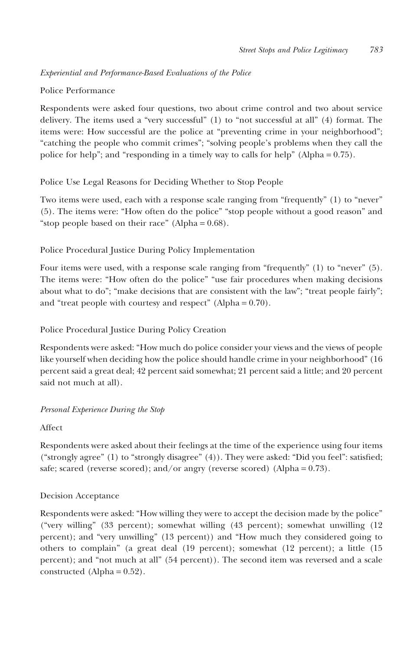## *Experiential and Performance-Based Evaluations of the Police*

### Police Performance

Respondents were asked four questions, two about crime control and two about service delivery. The items used a "very successful" (1) to "not successful at all" (4) format. The items were: How successful are the police at "preventing crime in your neighborhood"; "catching the people who commit crimes"; "solving people's problems when they call the police for help"; and "responding in a timely way to calls for help" (Alpha = 0.75).

Police Use Legal Reasons for Deciding Whether to Stop People

Two items were used, each with a response scale ranging from "frequently" (1) to "never" (5). The items were: "How often do the police" "stop people without a good reason" and "stop people based on their race" (Alpha = 0.68).

# Police Procedural Justice During Policy Implementation

Four items were used, with a response scale ranging from "frequently" (1) to "never" (5). The items were: "How often do the police" "use fair procedures when making decisions about what to do"; "make decisions that are consistent with the law"; "treat people fairly"; and "treat people with courtesy and respect" (Alpha = 0.70).

## Police Procedural Justice During Policy Creation

Respondents were asked: "How much do police consider your views and the views of people like yourself when deciding how the police should handle crime in your neighborhood" (16 percent said a great deal; 42 percent said somewhat; 21 percent said a little; and 20 percent said not much at all).

### *Personal Experience During the Stop*

### Affect

Respondents were asked about their feelings at the time of the experience using four items ("strongly agree" (1) to "strongly disagree" (4)). They were asked: "Did you feel": satisfied; safe; scared (reverse scored); and/or angry (reverse scored) (Alpha =  $0.73$ ).

### Decision Acceptance

Respondents were asked: "How willing they were to accept the decision made by the police" ("very willing" (33 percent); somewhat willing (43 percent); somewhat unwilling (12 percent); and "very unwilling" (13 percent)) and "How much they considered going to others to complain" (a great deal (19 percent); somewhat (12 percent); a little (15 percent); and "not much at all" (54 percent)). The second item was reversed and a scale constructed (Alpha =  $0.52$ ).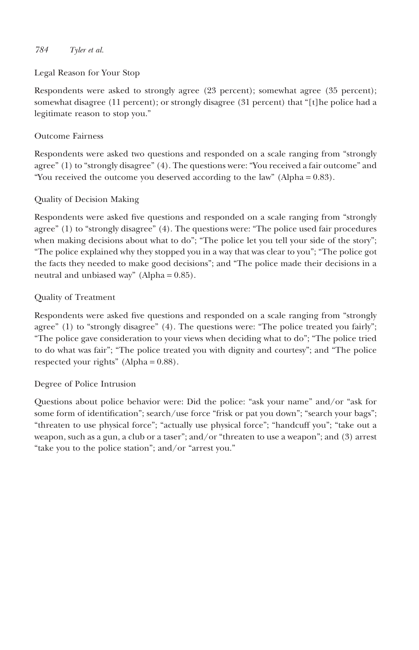# Legal Reason for Your Stop

Respondents were asked to strongly agree (23 percent); somewhat agree (35 percent); somewhat disagree (11 percent); or strongly disagree (31 percent) that "[t]he police had a legitimate reason to stop you."

# Outcome Fairness

Respondents were asked two questions and responded on a scale ranging from "strongly agree" (1) to "strongly disagree" (4). The questions were: "You received a fair outcome" and "You received the outcome you deserved according to the law" (Alpha = 0.83).

# Quality of Decision Making

Respondents were asked five questions and responded on a scale ranging from "strongly agree" (1) to "strongly disagree" (4). The questions were: "The police used fair procedures when making decisions about what to do"; "The police let you tell your side of the story"; "The police explained why they stopped you in a way that was clear to you"; "The police got the facts they needed to make good decisions"; and "The police made their decisions in a neutral and unbiased way" (Alpha = 0.85).

# Quality of Treatment

Respondents were asked five questions and responded on a scale ranging from "strongly agree" (1) to "strongly disagree" (4). The questions were: "The police treated you fairly"; "The police gave consideration to your views when deciding what to do"; "The police tried to do what was fair"; "The police treated you with dignity and courtesy"; and "The police respected your rights" (Alpha =  $0.88$ ).

# Degree of Police Intrusion

Questions about police behavior were: Did the police: "ask your name" and/or "ask for some form of identification"; search/use force "frisk or pat you down"; "search your bags"; "threaten to use physical force"; "actually use physical force"; "handcuff you"; "take out a weapon, such as a gun, a club or a taser"; and/or "threaten to use a weapon"; and (3) arrest "take you to the police station"; and/or "arrest you."